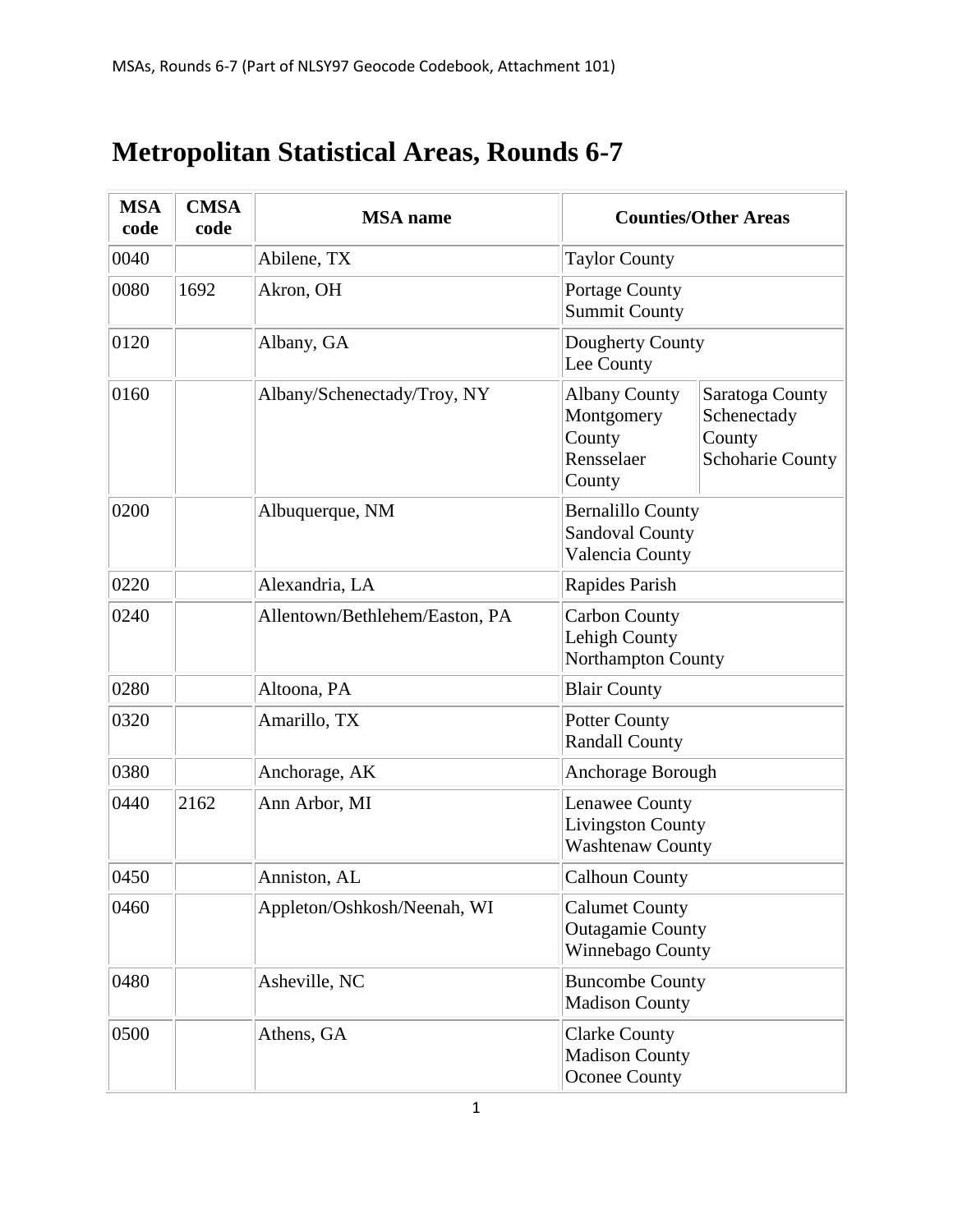## **Metropolitan Statistical Areas, Rounds 6-7**

| <b>MSA</b><br>code | <b>CMSA</b><br>code | <b>MSA</b> name                |                                                                       | <b>Counties/Other Areas</b>                                         |  |
|--------------------|---------------------|--------------------------------|-----------------------------------------------------------------------|---------------------------------------------------------------------|--|
| 0040               |                     | Abilene, TX                    | <b>Taylor County</b>                                                  |                                                                     |  |
| 0080               | 1692                | Akron, OH                      | Portage County<br><b>Summit County</b>                                |                                                                     |  |
| 0120               |                     | Albany, GA                     | Dougherty County<br>Lee County                                        |                                                                     |  |
| 0160               |                     | Albany/Schenectady/Troy, NY    | <b>Albany County</b><br>Montgomery<br>County<br>Rensselaer<br>County  | Saratoga County<br>Schenectady<br>County<br><b>Schoharie County</b> |  |
| 0200               |                     | Albuquerque, NM                | <b>Bernalillo County</b><br><b>Sandoval County</b><br>Valencia County |                                                                     |  |
| 0220               |                     | Alexandria, LA                 | Rapides Parish                                                        |                                                                     |  |
| 0240               |                     | Allentown/Bethlehem/Easton, PA | <b>Carbon County</b><br>Lehigh County<br><b>Northampton County</b>    |                                                                     |  |
| 0280               |                     | Altoona, PA                    | <b>Blair County</b>                                                   |                                                                     |  |
| 0320               |                     | Amarillo, TX                   | <b>Potter County</b><br><b>Randall County</b>                         |                                                                     |  |
| 0380               |                     | Anchorage, AK                  | Anchorage Borough                                                     |                                                                     |  |
| 0440               | 2162                | Ann Arbor, MI                  | Lenawee County<br><b>Livingston County</b><br><b>Washtenaw County</b> |                                                                     |  |
| 0450               |                     | Anniston, AL                   | <b>Calhoun County</b>                                                 |                                                                     |  |
| 0460               |                     | Appleton/Oshkosh/Neenah, WI    | <b>Calumet County</b><br><b>Outagamie County</b><br>Winnebago County  |                                                                     |  |
| 0480               |                     | Asheville, NC                  | <b>Buncombe County</b><br><b>Madison County</b>                       |                                                                     |  |
| 0500               |                     | Athens, GA                     | <b>Clarke County</b><br><b>Madison County</b><br><b>Oconee County</b> |                                                                     |  |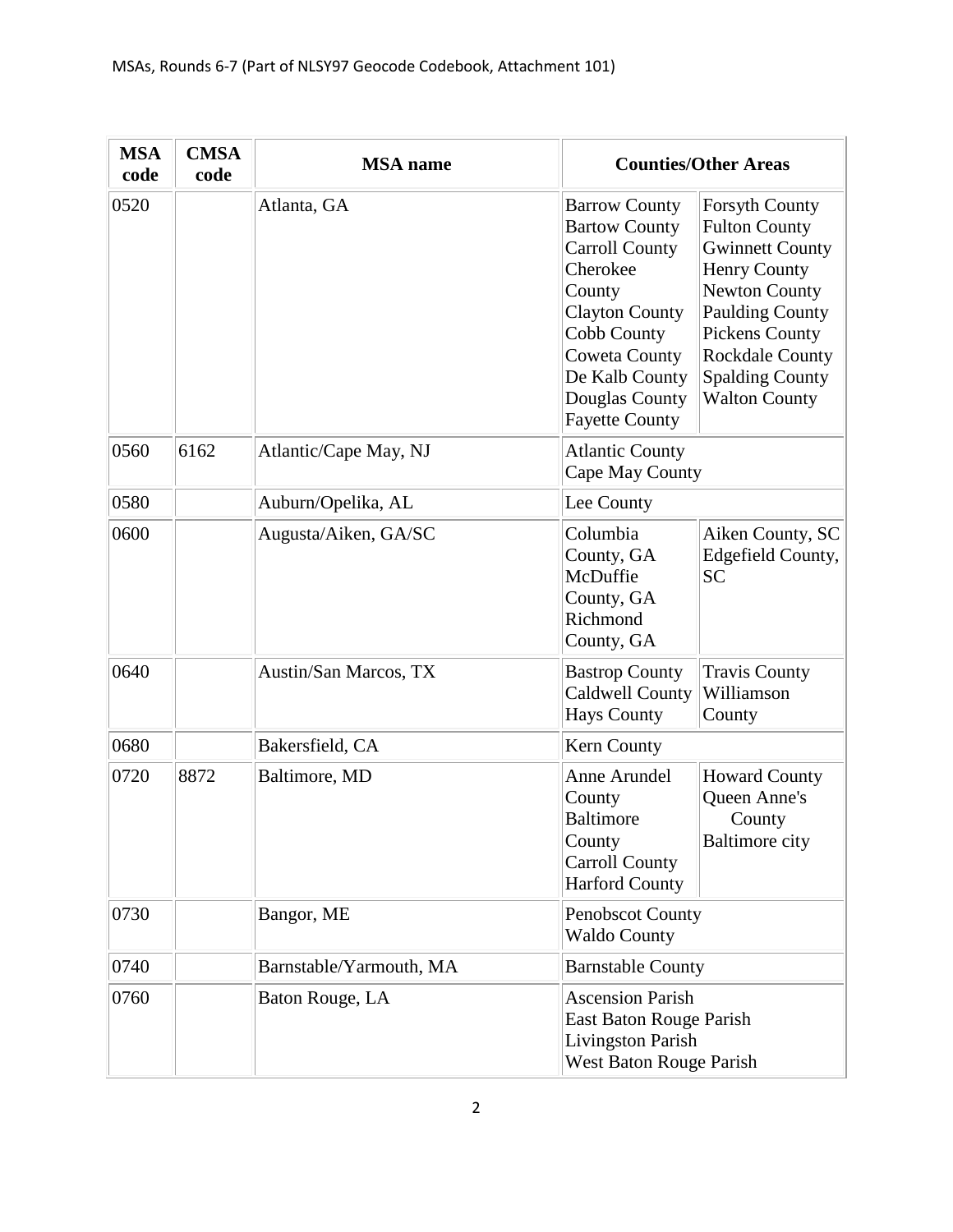| <b>MSA</b><br>code | <b>CMSA</b><br>code | <b>MSA</b> name         |                                                                                                                                                                                                                          | <b>Counties/Other Areas</b>                                                                                                                                                                                                                           |  |
|--------------------|---------------------|-------------------------|--------------------------------------------------------------------------------------------------------------------------------------------------------------------------------------------------------------------------|-------------------------------------------------------------------------------------------------------------------------------------------------------------------------------------------------------------------------------------------------------|--|
| 0520               |                     | Atlanta, GA             | <b>Barrow County</b><br><b>Bartow County</b><br><b>Carroll County</b><br>Cherokee<br>County<br><b>Clayton County</b><br>Cobb County<br><b>Coweta County</b><br>De Kalb County<br>Douglas County<br><b>Fayette County</b> | <b>Forsyth County</b><br><b>Fulton County</b><br><b>Gwinnett County</b><br><b>Henry County</b><br><b>Newton County</b><br><b>Paulding County</b><br><b>Pickens County</b><br><b>Rockdale County</b><br><b>Spalding County</b><br><b>Walton County</b> |  |
| 0560               | 6162                | Atlantic/Cape May, NJ   | <b>Atlantic County</b>                                                                                                                                                                                                   | Cape May County                                                                                                                                                                                                                                       |  |
| 0580               |                     | Auburn/Opelika, AL      | Lee County                                                                                                                                                                                                               |                                                                                                                                                                                                                                                       |  |
| 0600               |                     | Augusta/Aiken, GA/SC    | Columbia<br>County, GA<br>McDuffie<br>County, GA<br>Richmond<br>County, GA                                                                                                                                               | Aiken County, SC<br>Edgefield County,<br><b>SC</b>                                                                                                                                                                                                    |  |
| 0640               |                     | Austin/San Marcos, TX   | <b>Bastrop County</b><br><b>Caldwell County</b><br><b>Hays County</b>                                                                                                                                                    | <b>Travis County</b><br>Williamson<br>County                                                                                                                                                                                                          |  |
| 0680               |                     | Bakersfield, CA         | Kern County                                                                                                                                                                                                              |                                                                                                                                                                                                                                                       |  |
| 0720               | 8872                | Baltimore, MD           | Anne Arundel<br>County<br><b>Baltimore</b><br>County<br><b>Carroll County</b><br><b>Harford County</b>                                                                                                                   | <b>Howard County</b><br><b>Queen Anne's</b><br>County<br><b>Baltimore city</b>                                                                                                                                                                        |  |
| 0730               |                     | Bangor, ME              | Penobscot County<br><b>Waldo County</b>                                                                                                                                                                                  |                                                                                                                                                                                                                                                       |  |
| 0740               |                     | Barnstable/Yarmouth, MA | <b>Barnstable County</b>                                                                                                                                                                                                 |                                                                                                                                                                                                                                                       |  |
| 0760               |                     | Baton Rouge, LA         | <b>Ascension Parish</b>                                                                                                                                                                                                  | East Baton Rouge Parish<br><b>Livingston Parish</b><br>West Baton Rouge Parish                                                                                                                                                                        |  |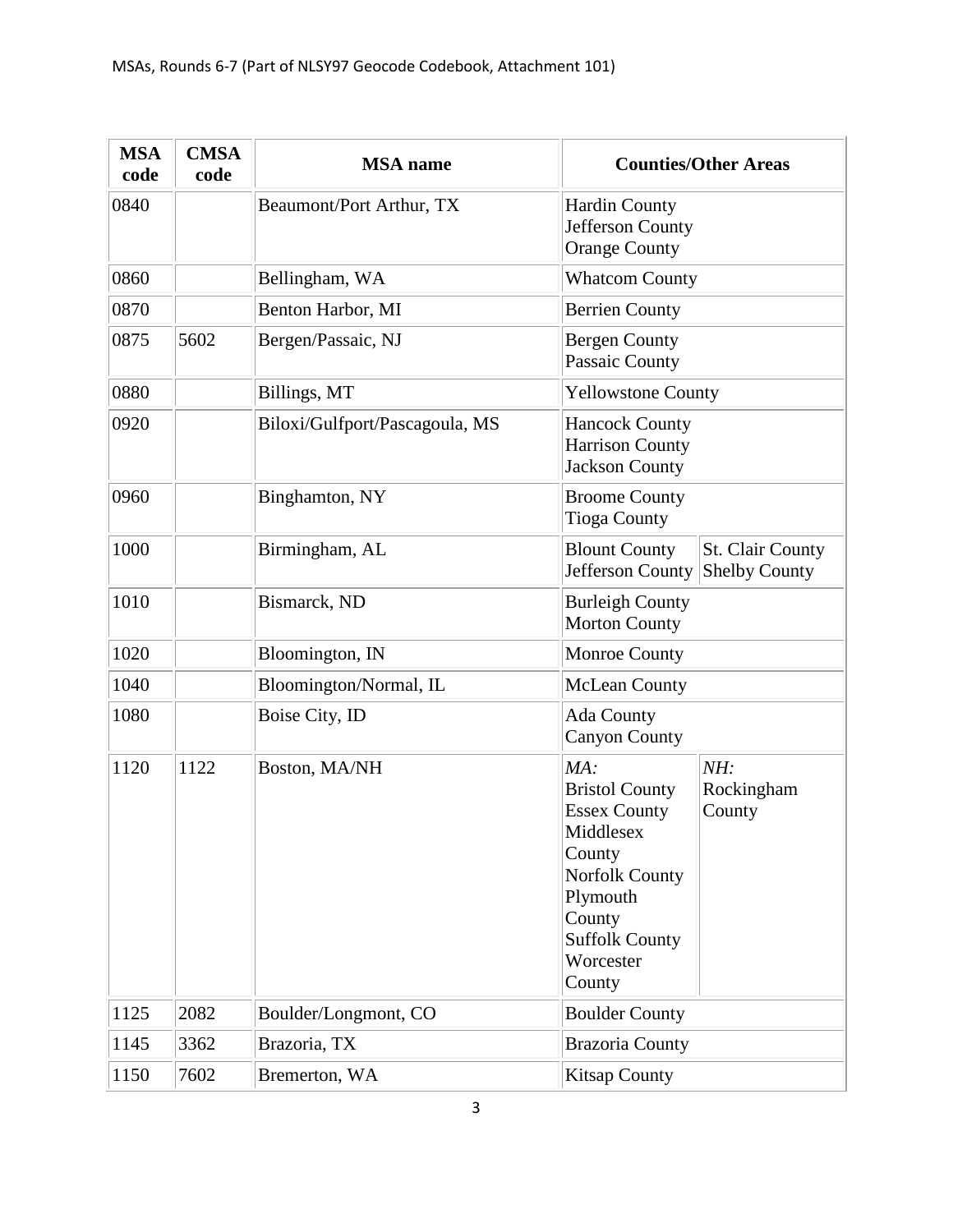| <b>MSA</b><br>code | <b>CMSA</b><br>code | <b>MSA</b> name                | <b>Counties/Other Areas</b>                                                                                                                                                                              |  |
|--------------------|---------------------|--------------------------------|----------------------------------------------------------------------------------------------------------------------------------------------------------------------------------------------------------|--|
| 0840               |                     | Beaumont/Port Arthur, TX       | <b>Hardin County</b><br>Jefferson County<br><b>Orange County</b>                                                                                                                                         |  |
| 0860               |                     | Bellingham, WA                 | <b>Whatcom County</b>                                                                                                                                                                                    |  |
| 0870               |                     | Benton Harbor, MI              | <b>Berrien County</b>                                                                                                                                                                                    |  |
| 0875               | 5602                | Bergen/Passaic, NJ             | <b>Bergen County</b><br>Passaic County                                                                                                                                                                   |  |
| 0880               |                     | Billings, MT                   | <b>Yellowstone County</b>                                                                                                                                                                                |  |
| 0920               |                     | Biloxi/Gulfport/Pascagoula, MS | <b>Hancock County</b><br><b>Harrison County</b><br><b>Jackson County</b>                                                                                                                                 |  |
| 0960               |                     | Binghamton, NY                 | <b>Broome County</b><br><b>Tioga County</b>                                                                                                                                                              |  |
| 1000               |                     | Birmingham, AL                 | <b>Blount County</b><br>St. Clair County<br>Jefferson County Shelby County                                                                                                                               |  |
| 1010               |                     | Bismarck, ND                   | <b>Burleigh County</b><br><b>Morton County</b>                                                                                                                                                           |  |
| 1020               |                     | Bloomington, IN                | <b>Monroe County</b>                                                                                                                                                                                     |  |
| 1040               |                     | Bloomington/Normal, IL         | <b>McLean County</b>                                                                                                                                                                                     |  |
| 1080               |                     | Boise City, ID                 | Ada County<br><b>Canyon County</b>                                                                                                                                                                       |  |
| 1120               | 1122                | Boston, MA/NH                  | MA:<br>NH:<br>Rockingham<br><b>Bristol County</b><br><b>Essex County</b><br>County<br>Middlesex<br>County<br><b>Norfolk County</b><br>Plymouth<br>County<br><b>Suffolk County</b><br>Worcester<br>County |  |
| 1125               | 2082                | Boulder/Longmont, CO           | <b>Boulder County</b>                                                                                                                                                                                    |  |
| 1145               | 3362                | Brazoria, TX                   | <b>Brazoria County</b>                                                                                                                                                                                   |  |
| 1150               | 7602                | Bremerton, WA                  | <b>Kitsap County</b>                                                                                                                                                                                     |  |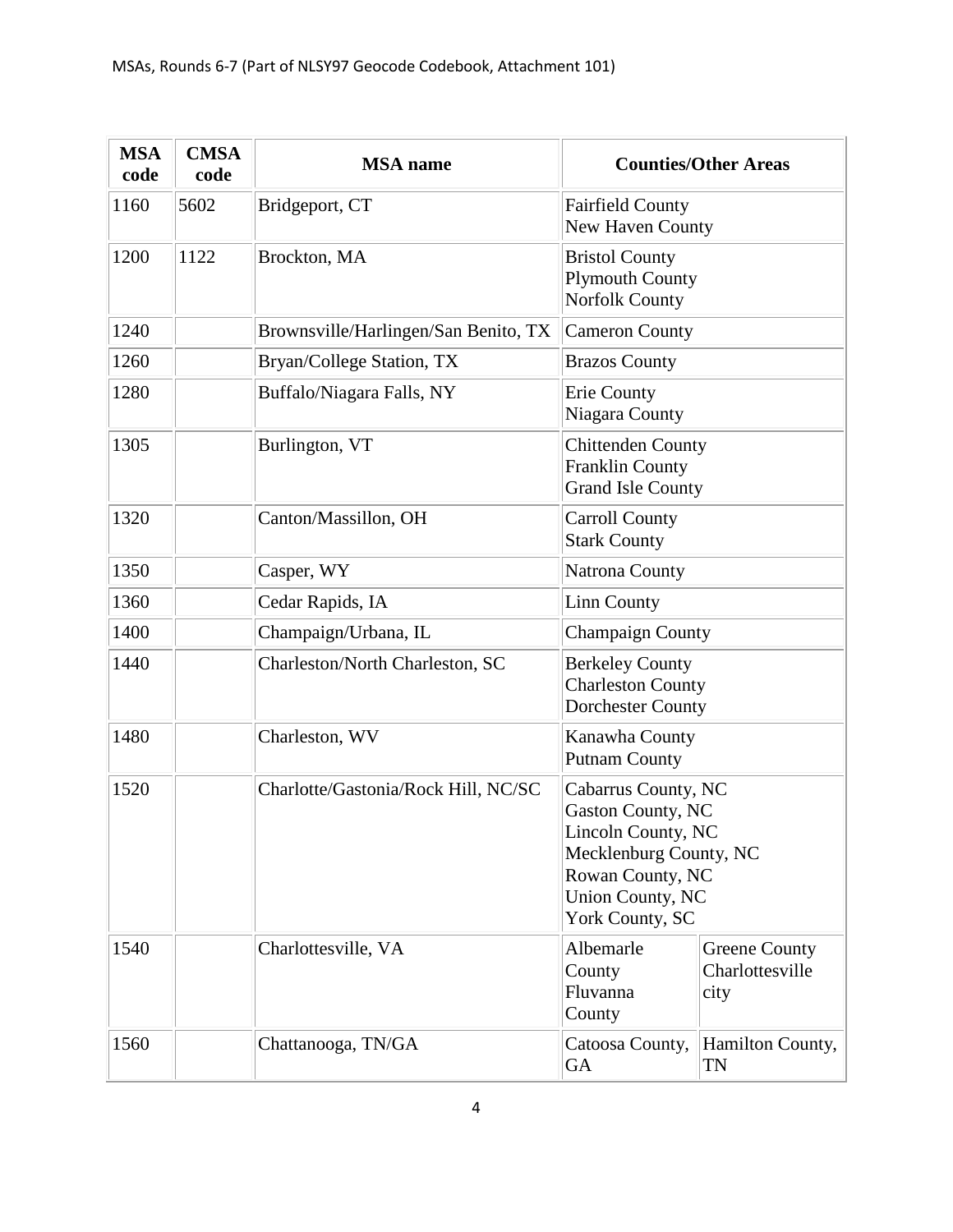| <b>MSA</b><br>code | <b>CMSA</b><br>code | <b>MSA</b> name                      | <b>Counties/Other Areas</b>                                                                                                                                |  |
|--------------------|---------------------|--------------------------------------|------------------------------------------------------------------------------------------------------------------------------------------------------------|--|
| 1160               | 5602                | Bridgeport, CT                       | <b>Fairfield County</b><br>New Haven County                                                                                                                |  |
| 1200               | 1122                | Brockton, MA                         | <b>Bristol County</b><br><b>Plymouth County</b><br><b>Norfolk County</b>                                                                                   |  |
| 1240               |                     | Brownsville/Harlingen/San Benito, TX | <b>Cameron County</b>                                                                                                                                      |  |
| 1260               |                     | Bryan/College Station, TX            | <b>Brazos County</b>                                                                                                                                       |  |
| 1280               |                     | Buffalo/Niagara Falls, NY            | Erie County<br>Niagara County                                                                                                                              |  |
| 1305               |                     | Burlington, VT                       | <b>Chittenden County</b><br><b>Franklin County</b><br><b>Grand Isle County</b>                                                                             |  |
| 1320               |                     | Canton/Massillon, OH                 | <b>Carroll County</b><br><b>Stark County</b>                                                                                                               |  |
| 1350               |                     | Casper, WY                           | Natrona County                                                                                                                                             |  |
| 1360               |                     | Cedar Rapids, IA                     | <b>Linn County</b>                                                                                                                                         |  |
| 1400               |                     | Champaign/Urbana, IL                 | <b>Champaign County</b>                                                                                                                                    |  |
| 1440               |                     | Charleston/North Charleston, SC      | <b>Berkeley County</b><br><b>Charleston County</b><br><b>Dorchester County</b>                                                                             |  |
| 1480               |                     | Charleston, WV                       | Kanawha County<br><b>Putnam County</b>                                                                                                                     |  |
| 1520               |                     | Charlotte/Gastonia/Rock Hill, NC/SC  | Cabarrus County, NC<br>Gaston County, NC<br>Lincoln County, NC<br>Mecklenburg County, NC<br>Rowan County, NC<br><b>Union County, NC</b><br>York County, SC |  |
| 1540               |                     | Charlottesville, VA                  | Albemarle<br><b>Greene County</b><br>Charlottesville<br>County<br>Fluvanna<br>city<br>County                                                               |  |
| 1560               |                     | Chattanooga, TN/GA                   | Hamilton County,<br>Catoosa County,<br>GA<br>TN                                                                                                            |  |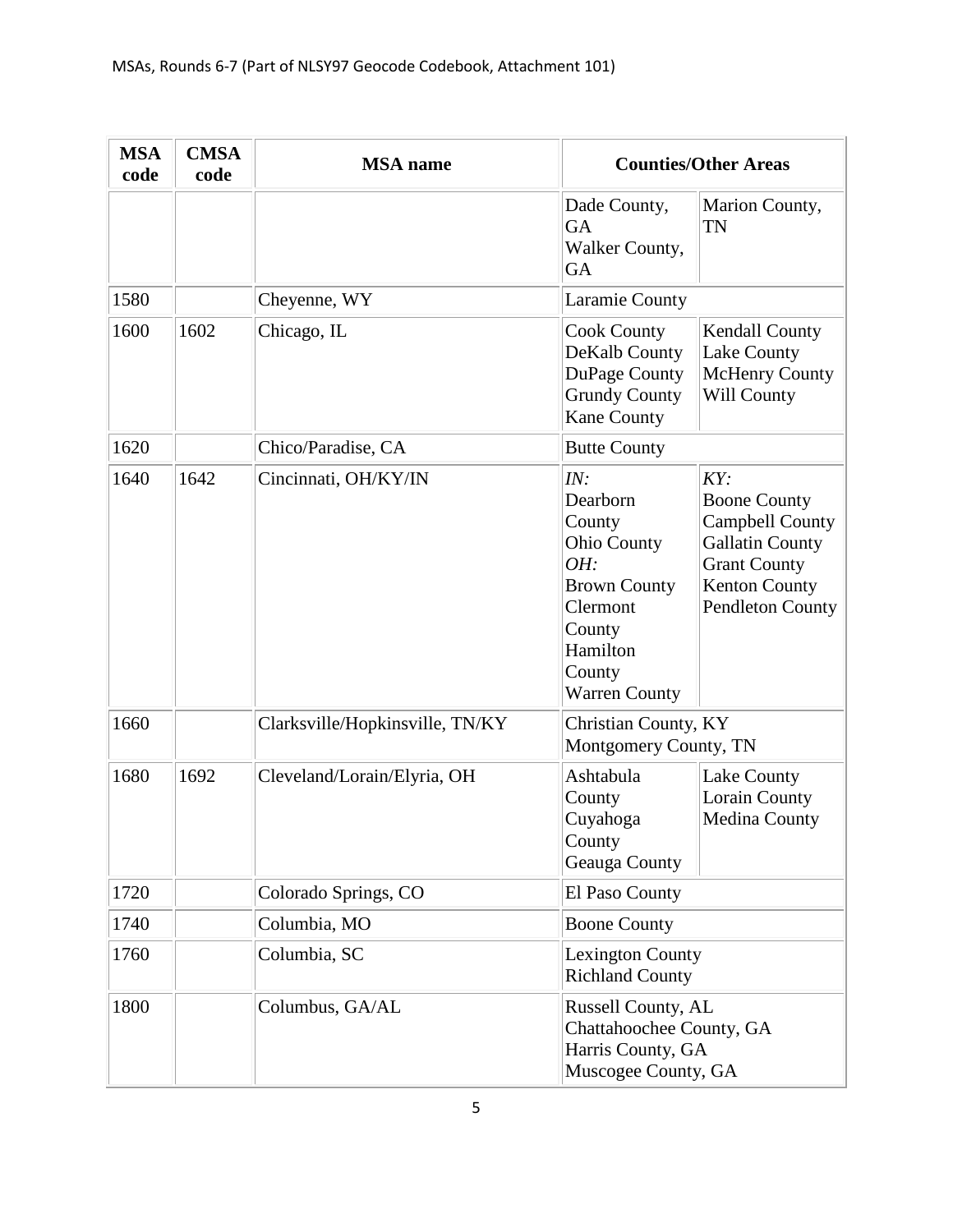| <b>MSA</b><br>code | <b>CMSA</b><br>code | <b>MSA</b> name                 |                                                                                                                                                   | <b>Counties/Other Areas</b>                                                                                                                              |
|--------------------|---------------------|---------------------------------|---------------------------------------------------------------------------------------------------------------------------------------------------|----------------------------------------------------------------------------------------------------------------------------------------------------------|
|                    |                     |                                 | Dade County,<br>GA<br>Walker County,<br>GA                                                                                                        | Marion County,<br><b>TN</b>                                                                                                                              |
| 1580               |                     | Cheyenne, WY                    | Laramie County                                                                                                                                    |                                                                                                                                                          |
| 1600               | 1602                | Chicago, IL                     | <b>Cook County</b><br>DeKalb County<br>DuPage County<br><b>Grundy County</b><br><b>Kane County</b>                                                | Kendall County<br>Lake County<br><b>McHenry County</b><br>Will County                                                                                    |
| 1620               |                     | Chico/Paradise, CA              | <b>Butte County</b>                                                                                                                               |                                                                                                                                                          |
| 1640               | 1642                | Cincinnati, OH/KY/IN            | IN:<br>Dearborn<br>County<br><b>Ohio County</b><br>OH:<br><b>Brown County</b><br>Clermont<br>County<br>Hamilton<br>County<br><b>Warren County</b> | KY:<br><b>Boone County</b><br><b>Campbell County</b><br><b>Gallatin County</b><br><b>Grant County</b><br><b>Kenton County</b><br><b>Pendleton County</b> |
| 1660               |                     | Clarksville/Hopkinsville, TN/KY | Christian County, KY<br>Montgomery County, TN                                                                                                     |                                                                                                                                                          |
| 1680               | 1692                | Cleveland/Lorain/Elyria, OH     | Ashtabula<br>County<br>Cuyahoga<br>County<br>Geauga County                                                                                        | Lake County<br>Lorain County<br>Medina County                                                                                                            |
| 1720               |                     | Colorado Springs, CO            | El Paso County                                                                                                                                    |                                                                                                                                                          |
| 1740               |                     | Columbia, MO                    | <b>Boone County</b>                                                                                                                               |                                                                                                                                                          |
| 1760               |                     | Columbia, SC                    | <b>Lexington County</b><br><b>Richland County</b>                                                                                                 |                                                                                                                                                          |
| 1800               |                     | Columbus, GA/AL                 | Russell County, AL<br>Chattahoochee County, GA<br>Harris County, GA<br>Muscogee County, GA                                                        |                                                                                                                                                          |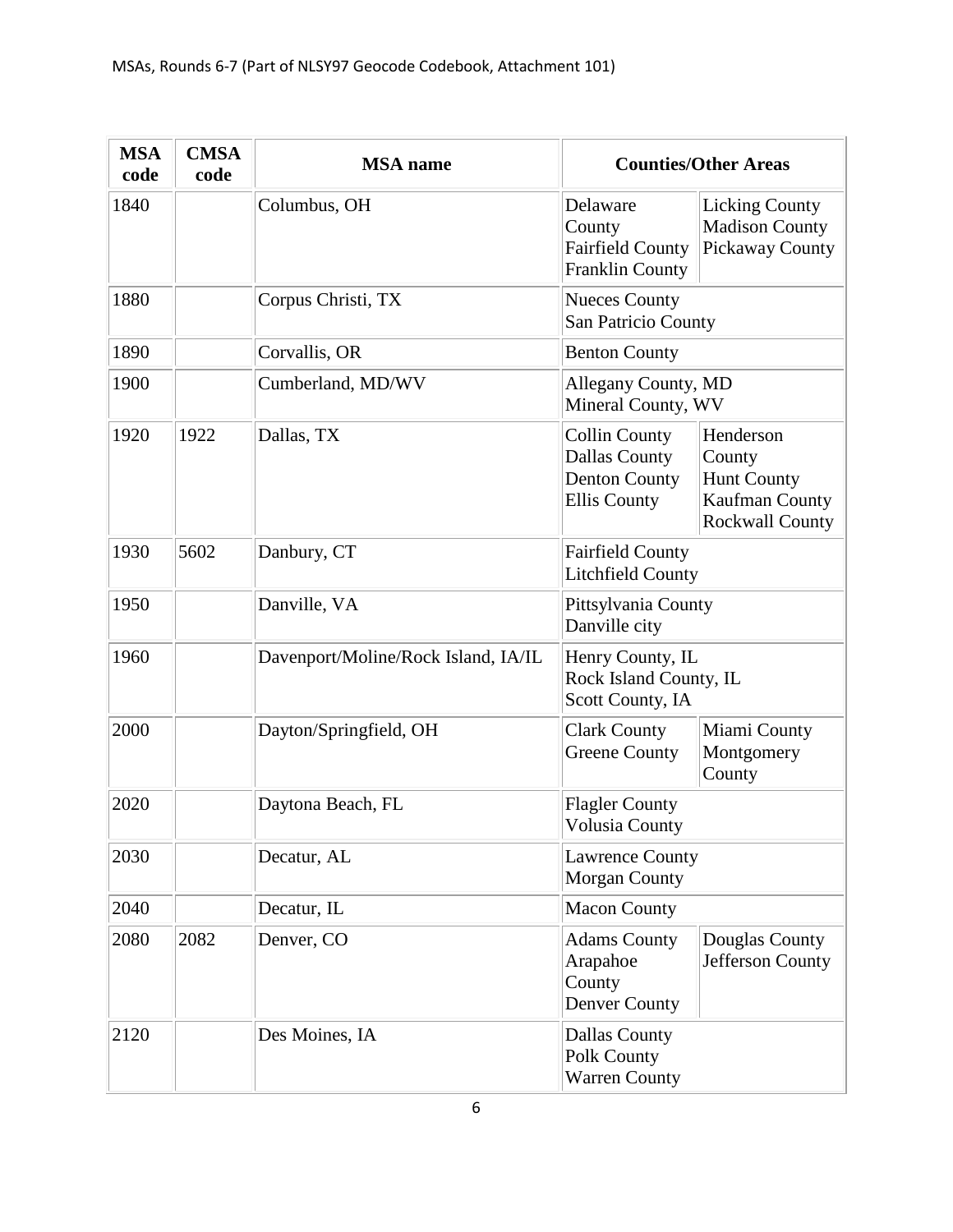| <b>MSA</b><br>code | <b>CMSA</b><br>code | <b>MSA</b> name                     |                                                                                             | <b>Counties/Other Areas</b>                                             |
|--------------------|---------------------|-------------------------------------|---------------------------------------------------------------------------------------------|-------------------------------------------------------------------------|
| 1840               |                     | Columbus, OH                        | Delaware<br>County<br><b>Fairfield County</b><br><b>Franklin County</b>                     | <b>Licking County</b><br><b>Madison County</b><br>Pickaway County       |
| 1880               |                     | Corpus Christi, TX                  | <b>Nueces County</b><br>San Patricio County                                                 |                                                                         |
| 1890               |                     | Corvallis, OR                       | <b>Benton County</b>                                                                        |                                                                         |
| 1900               |                     | Cumberland, MD/WV                   | Allegany County, MD<br>Mineral County, WV                                                   |                                                                         |
| 1920               | 1922                | Dallas, TX                          | <b>Collin County</b><br><b>Dallas County</b><br><b>Denton County</b><br><b>Ellis County</b> | Henderson<br>County<br>Hunt County<br>Kaufman County<br>Rockwall County |
| 1930               | 5602                | Danbury, CT                         | <b>Fairfield County</b><br><b>Litchfield County</b>                                         |                                                                         |
| 1950               |                     | Danville, VA                        | Pittsylvania County<br>Danville city                                                        |                                                                         |
| 1960               |                     | Davenport/Moline/Rock Island, IA/IL | Henry County, IL<br>Rock Island County, IL<br>Scott County, IA                              |                                                                         |
| 2000               |                     | Dayton/Springfield, OH              | <b>Clark County</b><br><b>Greene County</b>                                                 | Miami County<br>Montgomery<br>County                                    |
| 2020               |                     | Daytona Beach, FL                   | <b>Flagler County</b><br><b>Volusia County</b>                                              |                                                                         |
| 2030               |                     | Decatur, AL                         | <b>Lawrence County</b><br><b>Morgan County</b>                                              |                                                                         |
| 2040               |                     | Decatur, IL                         | <b>Macon County</b>                                                                         |                                                                         |
| 2080               | 2082                | Denver, CO                          | <b>Adams County</b><br>Arapahoe<br>County<br><b>Denver County</b>                           | Douglas County<br>Jefferson County                                      |
| 2120               |                     | Des Moines, IA                      | <b>Dallas County</b><br>Polk County<br><b>Warren County</b>                                 |                                                                         |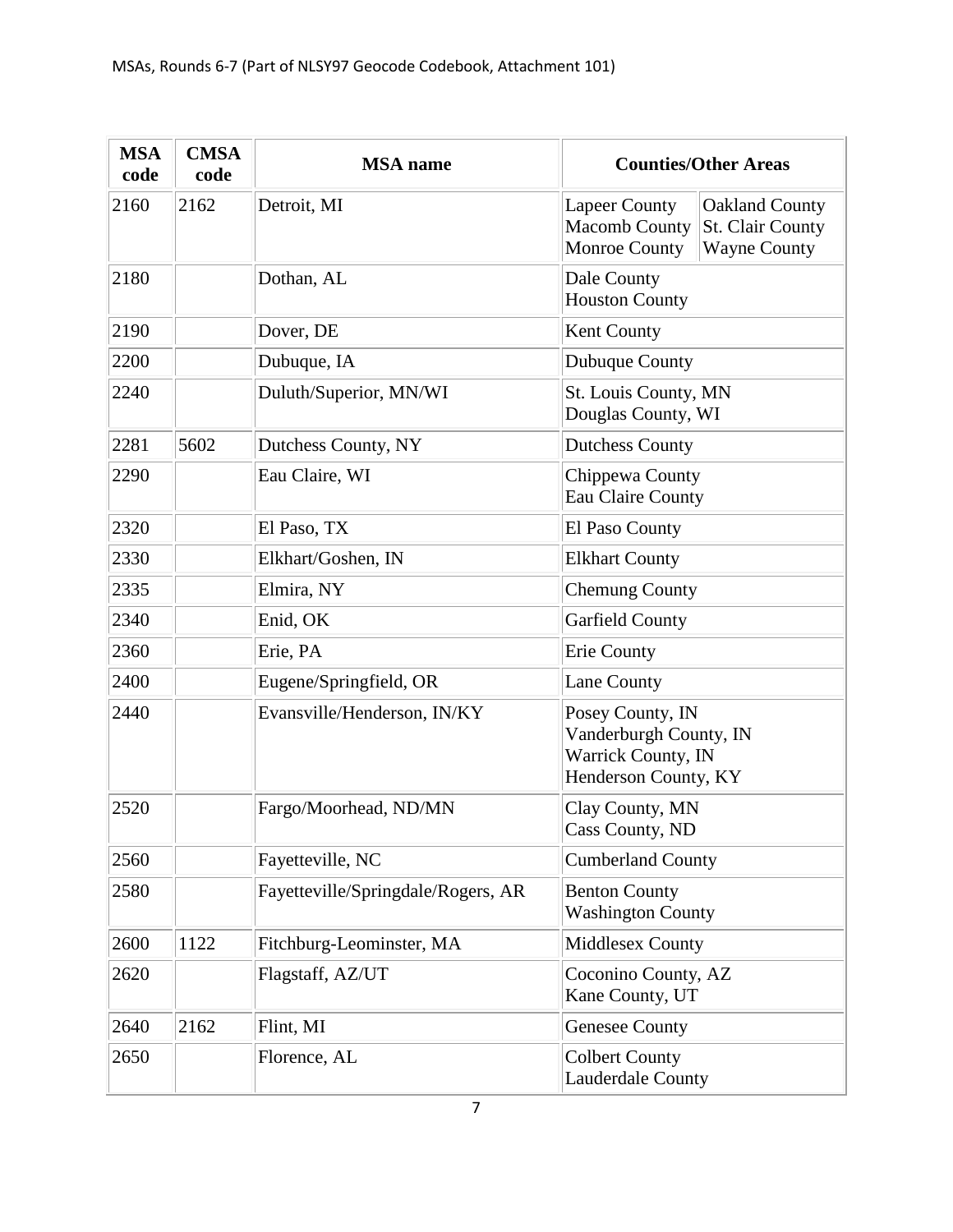| <b>MSA</b><br>code | <b>CMSA</b><br>code | <b>MSA</b> name                    | <b>Counties/Other Areas</b>                                                                                                              |  |
|--------------------|---------------------|------------------------------------|------------------------------------------------------------------------------------------------------------------------------------------|--|
| 2160               | 2162                | Detroit, MI                        | <b>Lapeer County</b><br><b>Oakland County</b><br>St. Clair County<br><b>Macomb County</b><br><b>Wayne County</b><br><b>Monroe County</b> |  |
| 2180               |                     | Dothan, AL                         | Dale County<br><b>Houston County</b>                                                                                                     |  |
| 2190               |                     | Dover, DE                          | Kent County                                                                                                                              |  |
| 2200               |                     | Dubuque, IA                        | Dubuque County                                                                                                                           |  |
| 2240               |                     | Duluth/Superior, MN/WI             | St. Louis County, MN<br>Douglas County, WI                                                                                               |  |
| 2281               | 5602                | Dutchess County, NY                | <b>Dutchess County</b>                                                                                                                   |  |
| 2290               |                     | Eau Claire, WI                     | Chippewa County<br><b>Eau Claire County</b>                                                                                              |  |
| 2320               |                     | El Paso, TX                        | El Paso County                                                                                                                           |  |
| 2330               |                     | Elkhart/Goshen, IN                 | <b>Elkhart County</b>                                                                                                                    |  |
| 2335               |                     | Elmira, NY                         | <b>Chemung County</b>                                                                                                                    |  |
| 2340               |                     | Enid, OK                           | <b>Garfield County</b>                                                                                                                   |  |
| 2360               |                     | Erie, PA                           | <b>Erie County</b>                                                                                                                       |  |
| 2400               |                     | Eugene/Springfield, OR             | <b>Lane County</b>                                                                                                                       |  |
| 2440               |                     | Evansville/Henderson, IN/KY        | Posey County, IN<br>Vanderburgh County, IN<br>Warrick County, IN<br>Henderson County, KY                                                 |  |
| 2520               |                     | Fargo/Moorhead, ND/MN              | Clay County, MN<br>Cass County, ND                                                                                                       |  |
| 2560               |                     | Fayetteville, NC                   | <b>Cumberland County</b>                                                                                                                 |  |
| 2580               |                     | Fayetteville/Springdale/Rogers, AR | <b>Benton County</b><br><b>Washington County</b>                                                                                         |  |
| 2600               | 1122                | Fitchburg-Leominster, MA           | Middlesex County                                                                                                                         |  |
| 2620               |                     | Flagstaff, AZ/UT                   | Coconino County, AZ<br>Kane County, UT                                                                                                   |  |
| 2640               | 2162                | Flint, MI                          | <b>Genesee County</b>                                                                                                                    |  |
| 2650               |                     | Florence, AL                       | <b>Colbert County</b><br>Lauderdale County                                                                                               |  |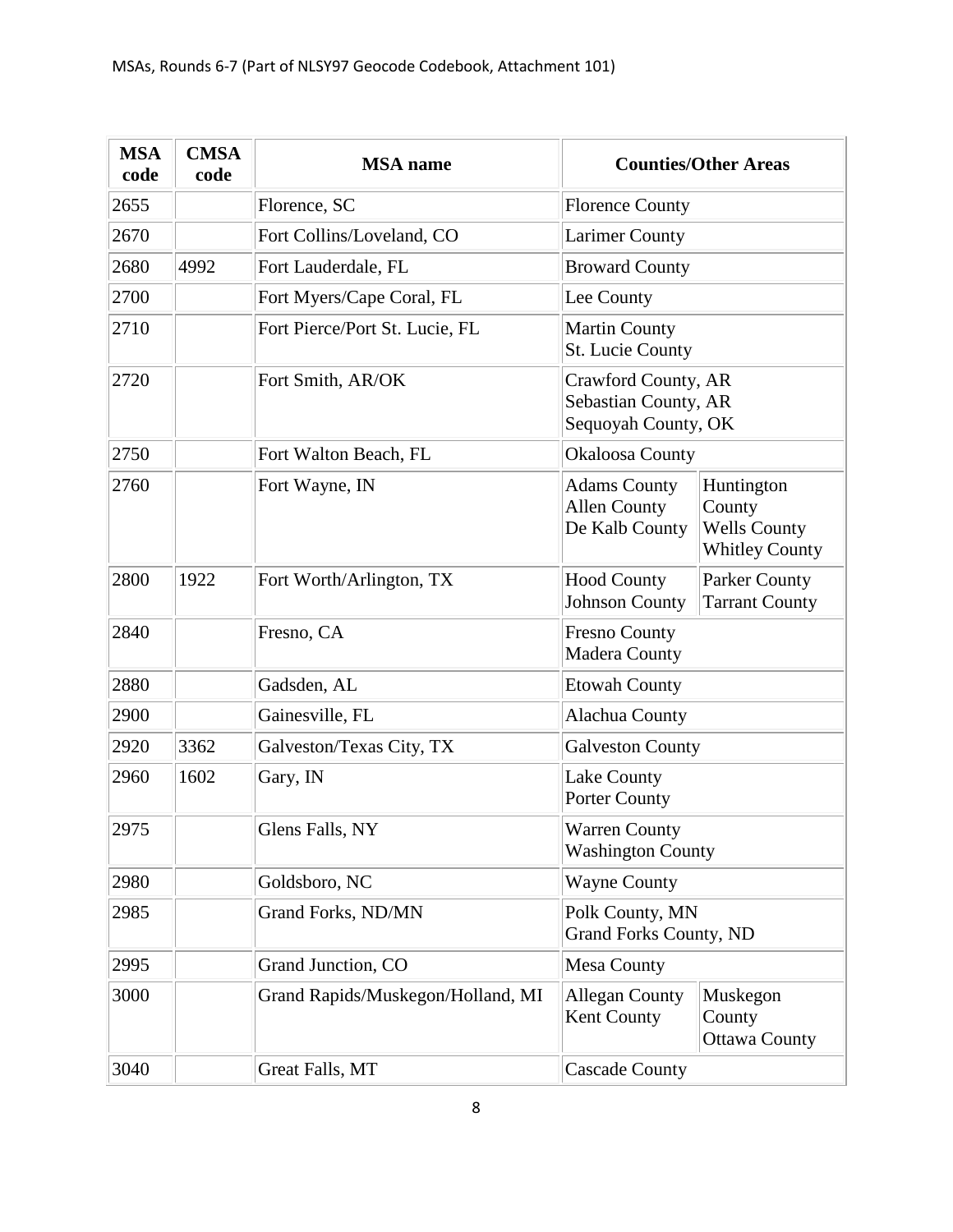| <b>MSA</b><br>code | <b>CMSA</b><br>code | <b>MSA</b> name                   |                                                                    | <b>Counties/Other Areas</b>                                          |
|--------------------|---------------------|-----------------------------------|--------------------------------------------------------------------|----------------------------------------------------------------------|
| 2655               |                     | Florence, SC                      | <b>Florence County</b>                                             |                                                                      |
| 2670               |                     | Fort Collins/Loveland, CO         | <b>Larimer County</b>                                              |                                                                      |
| 2680               | 4992                | Fort Lauderdale, FL               | <b>Broward County</b>                                              |                                                                      |
| 2700               |                     | Fort Myers/Cape Coral, FL         | Lee County                                                         |                                                                      |
| 2710               |                     | Fort Pierce/Port St. Lucie, FL    | <b>Martin County</b><br><b>St. Lucie County</b>                    |                                                                      |
| 2720               |                     | Fort Smith, AR/OK                 | Crawford County, AR<br>Sebastian County, AR<br>Sequoyah County, OK |                                                                      |
| 2750               |                     | Fort Walton Beach, FL             | <b>Okaloosa County</b>                                             |                                                                      |
| 2760               |                     | Fort Wayne, IN                    | <b>Adams County</b><br><b>Allen County</b><br>De Kalb County       | Huntington<br>County<br><b>Wells County</b><br><b>Whitley County</b> |
| 2800               | 1922                | Fort Worth/Arlington, TX          | <b>Hood County</b><br><b>Johnson County</b>                        | Parker County<br><b>Tarrant County</b>                               |
| 2840               |                     | Fresno, CA                        | <b>Fresno County</b><br><b>Madera County</b>                       |                                                                      |
| 2880               |                     | Gadsden, AL                       | <b>Etowah County</b>                                               |                                                                      |
| 2900               |                     | Gainesville, FL                   | Alachua County                                                     |                                                                      |
| 2920               | 3362                | Galveston/Texas City, TX          | <b>Galveston County</b>                                            |                                                                      |
| 2960               | 1602                | Gary, IN                          | Lake County<br><b>Porter County</b>                                |                                                                      |
| 2975               |                     | Glens Falls, NY                   | <b>Warren County</b><br><b>Washington County</b>                   |                                                                      |
| 2980               |                     | Goldsboro, NC                     | <b>Wayne County</b>                                                |                                                                      |
| 2985               |                     | Grand Forks, ND/MN                | Polk County, MN<br><b>Grand Forks County, ND</b>                   |                                                                      |
| 2995               |                     | Grand Junction, CO                | Mesa County                                                        |                                                                      |
| 3000               |                     | Grand Rapids/Muskegon/Holland, MI | <b>Allegan County</b><br>Kent County                               | Muskegon<br>County<br><b>Ottawa County</b>                           |
| 3040               |                     | Great Falls, MT                   | <b>Cascade County</b>                                              |                                                                      |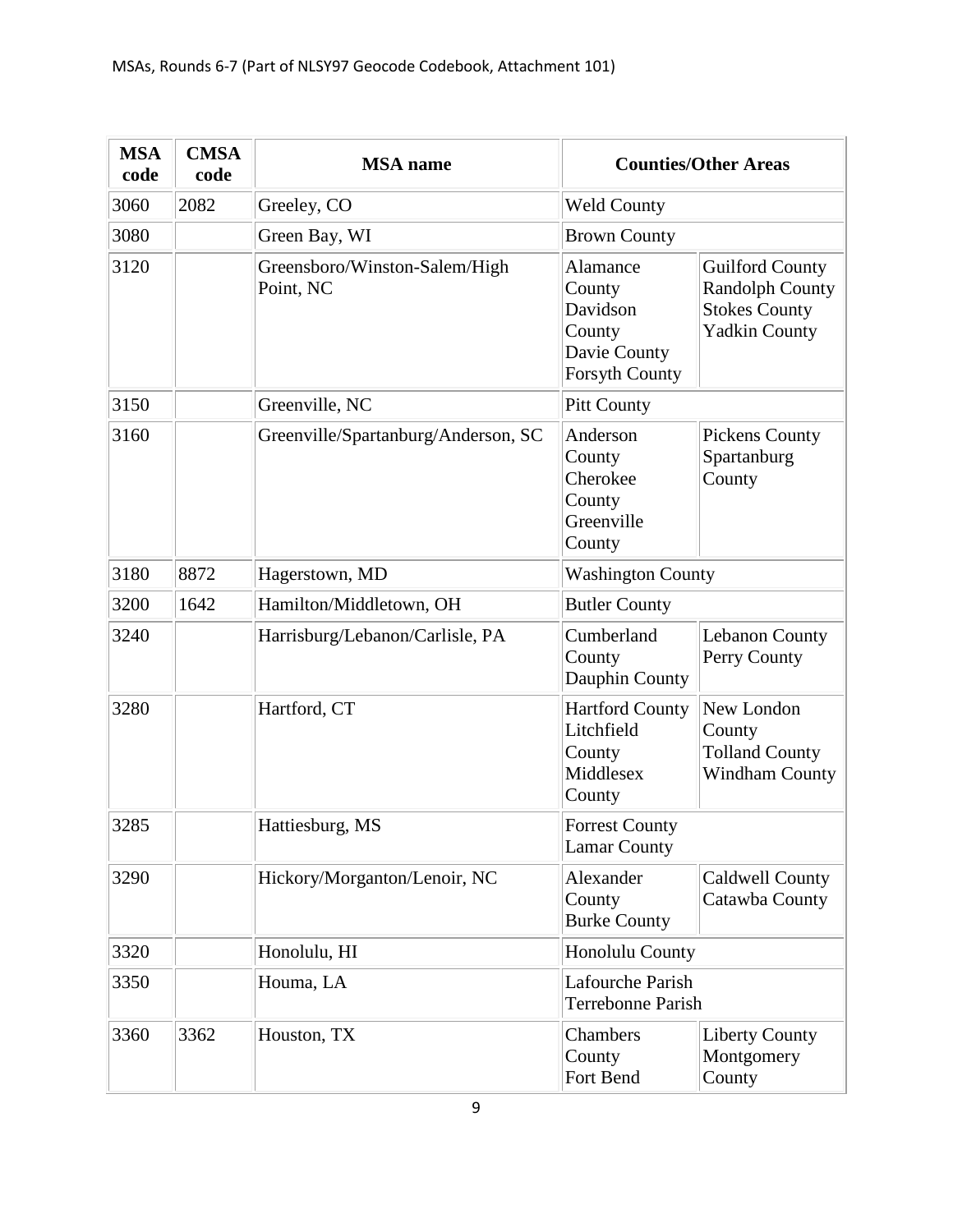| <b>MSA</b><br>code | <b>CMSA</b><br>code | <b>MSA</b> name                            |                                                                                   | <b>Counties/Other Areas</b>                                                                      |
|--------------------|---------------------|--------------------------------------------|-----------------------------------------------------------------------------------|--------------------------------------------------------------------------------------------------|
| 3060               | 2082                | Greeley, CO                                | <b>Weld County</b>                                                                |                                                                                                  |
| 3080               |                     | Green Bay, WI                              | <b>Brown County</b>                                                               |                                                                                                  |
| 3120               |                     | Greensboro/Winston-Salem/High<br>Point, NC | Alamance<br>County<br>Davidson<br>County<br>Davie County<br><b>Forsyth County</b> | <b>Guilford County</b><br><b>Randolph County</b><br><b>Stokes County</b><br><b>Yadkin County</b> |
| 3150               |                     | Greenville, NC                             | <b>Pitt County</b>                                                                |                                                                                                  |
| 3160               |                     | Greenville/Spartanburg/Anderson, SC        | Anderson<br>County<br>Cherokee<br>County<br>Greenville<br>County                  | Pickens County<br>Spartanburg<br>County                                                          |
| 3180               | 8872                | Hagerstown, MD                             | <b>Washington County</b>                                                          |                                                                                                  |
| 3200               | 1642                | Hamilton/Middletown, OH                    | <b>Butler County</b>                                                              |                                                                                                  |
| 3240               |                     | Harrisburg/Lebanon/Carlisle, PA            | Cumberland<br>County<br>Dauphin County                                            | <b>Lebanon County</b><br>Perry County                                                            |
| 3280               |                     | Hartford, CT                               | <b>Hartford County</b><br>Litchfield<br>County<br>Middlesex<br>County             | New London<br>County<br><b>Tolland County</b><br><b>Windham County</b>                           |
| 3285               |                     | Hattiesburg, MS                            | <b>Forrest County</b><br><b>Lamar County</b>                                      |                                                                                                  |
| 3290               |                     | Hickory/Morganton/Lenoir, NC               | Alexander<br>County<br><b>Burke County</b>                                        | Caldwell County<br>Catawba County                                                                |
| 3320               |                     | Honolulu, HI                               | Honolulu County                                                                   |                                                                                                  |
| 3350               |                     | Houma, LA                                  | Lafourche Parish<br><b>Terrebonne Parish</b>                                      |                                                                                                  |
| 3360               | 3362                | Houston, TX                                | Chambers<br>County<br>Fort Bend                                                   | <b>Liberty County</b><br>Montgomery<br>County                                                    |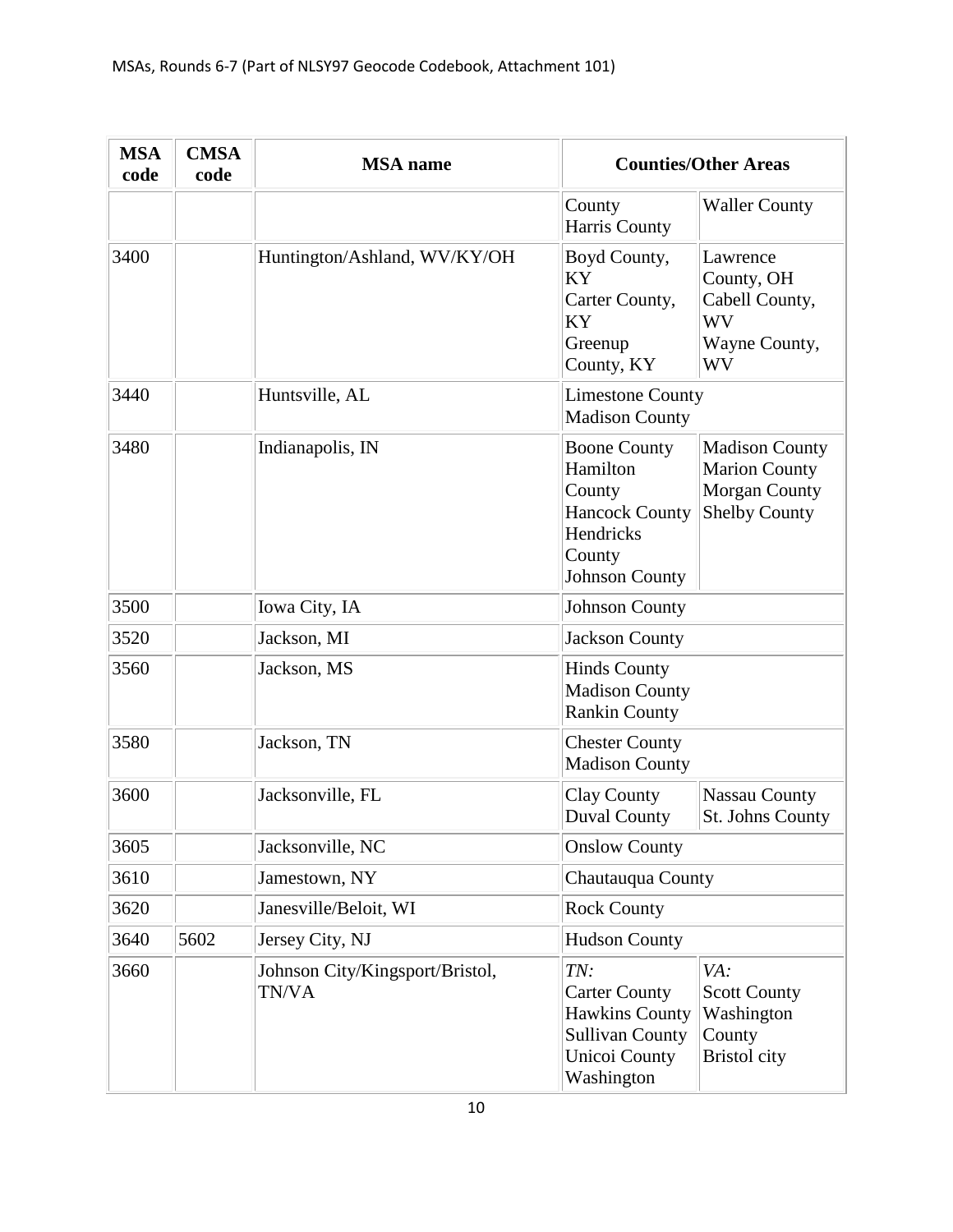| <b>MSA</b><br>code | <b>CMSA</b><br>code | <b>MSA</b> name                          |                                                                                                                      | <b>Counties/Other Areas</b>                                                                   |
|--------------------|---------------------|------------------------------------------|----------------------------------------------------------------------------------------------------------------------|-----------------------------------------------------------------------------------------------|
|                    |                     |                                          | County<br><b>Harris County</b>                                                                                       | <b>Waller County</b>                                                                          |
| 3400               |                     | Huntington/Ashland, WV/KY/OH             | Boyd County,<br><b>KY</b><br>Carter County,<br>KY<br>Greenup<br>County, KY                                           | Lawrence<br>County, OH<br>Cabell County,<br><b>WV</b><br>Wayne County,<br>WV                  |
| 3440               |                     | Huntsville, AL                           | <b>Limestone County</b><br><b>Madison County</b>                                                                     |                                                                                               |
| 3480               |                     | Indianapolis, IN                         | <b>Boone County</b><br>Hamilton<br>County<br><b>Hancock County</b><br>Hendricks<br>County<br><b>Johnson County</b>   | <b>Madison County</b><br><b>Marion County</b><br><b>Morgan County</b><br><b>Shelby County</b> |
| 3500               |                     | Iowa City, IA                            | <b>Johnson County</b>                                                                                                |                                                                                               |
| 3520               |                     | Jackson, MI                              | <b>Jackson County</b>                                                                                                |                                                                                               |
| 3560               |                     | Jackson, MS                              | <b>Hinds County</b><br><b>Madison County</b><br><b>Rankin County</b>                                                 |                                                                                               |
| 3580               |                     | Jackson, TN                              | <b>Chester County</b><br><b>Madison County</b>                                                                       |                                                                                               |
| 3600               |                     | Jacksonville, FL                         | <b>Clay County</b><br><b>Duval County</b>                                                                            | <b>Nassau County</b><br>St. Johns County                                                      |
| 3605               |                     | Jacksonville, NC                         | <b>Onslow County</b>                                                                                                 |                                                                                               |
| 3610               |                     | Jamestown, NY                            | Chautauqua County                                                                                                    |                                                                                               |
| 3620               |                     | Janesville/Beloit, WI                    | <b>Rock County</b>                                                                                                   |                                                                                               |
| 3640               | 5602                | Jersey City, NJ                          | <b>Hudson County</b>                                                                                                 |                                                                                               |
| 3660               |                     | Johnson City/Kingsport/Bristol,<br>TN/VA | TN:<br><b>Carter County</b><br><b>Hawkins County</b><br><b>Sullivan County</b><br><b>Unicoi County</b><br>Washington | VA:<br><b>Scott County</b><br>Washington<br>County<br><b>Bristol</b> city                     |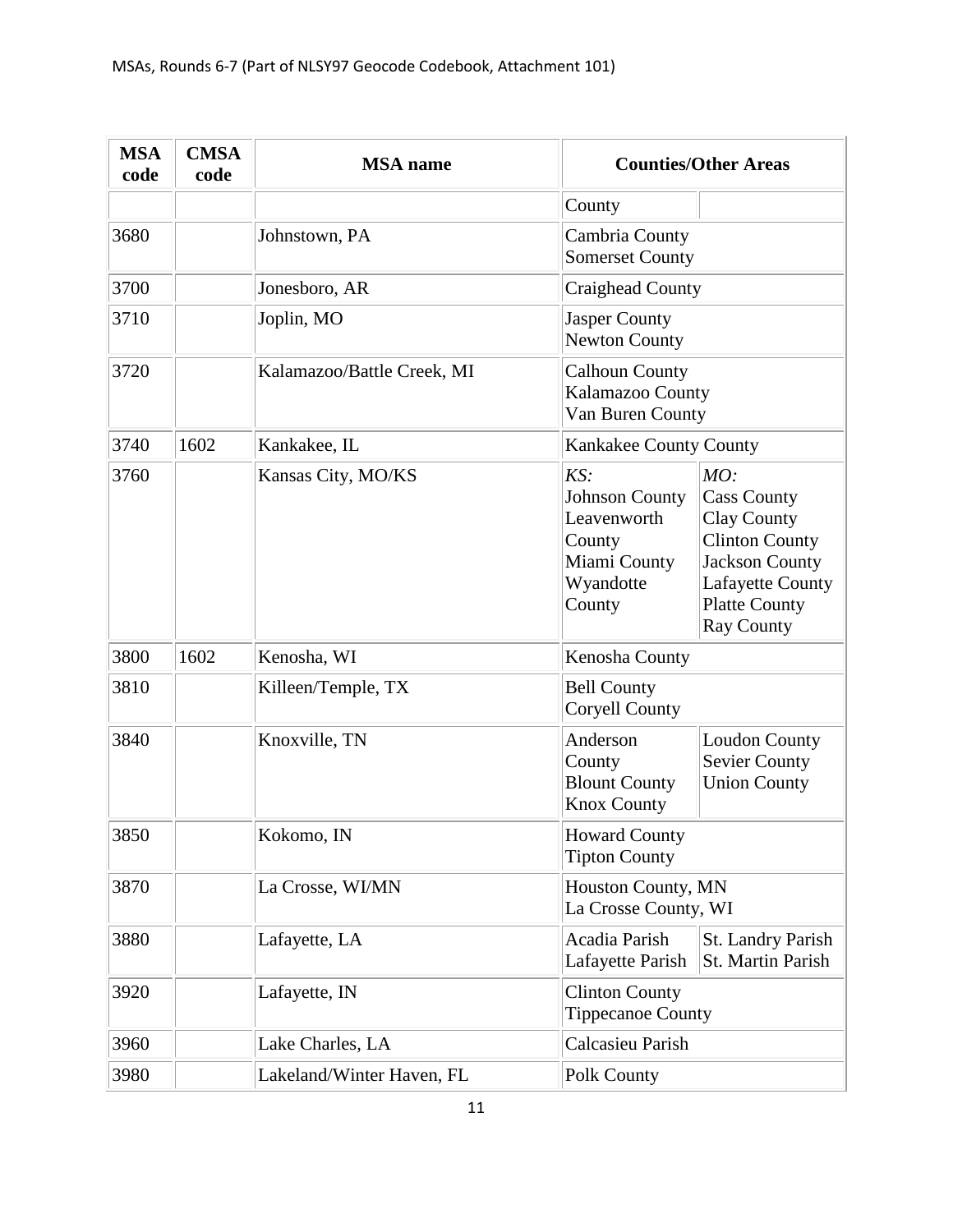| <b>MSA</b><br>code | <b>CMSA</b><br>code | <b>MSA</b> name            |                                                                                              | <b>Counties/Other Areas</b>                                                                                                                                 |
|--------------------|---------------------|----------------------------|----------------------------------------------------------------------------------------------|-------------------------------------------------------------------------------------------------------------------------------------------------------------|
|                    |                     |                            | County                                                                                       |                                                                                                                                                             |
| 3680               |                     | Johnstown, PA              | Cambria County<br><b>Somerset County</b>                                                     |                                                                                                                                                             |
| 3700               |                     | Jonesboro, AR              | Craighead County                                                                             |                                                                                                                                                             |
| 3710               |                     | Joplin, MO                 | <b>Jasper County</b><br><b>Newton County</b>                                                 |                                                                                                                                                             |
| 3720               |                     | Kalamazoo/Battle Creek, MI | <b>Calhoun County</b><br>Kalamazoo County<br>Van Buren County                                |                                                                                                                                                             |
| 3740               | 1602                | Kankakee, IL               | Kankakee County County                                                                       |                                                                                                                                                             |
| 3760               |                     | Kansas City, MO/KS         | KS:<br><b>Johnson County</b><br>Leavenworth<br>County<br>Miami County<br>Wyandotte<br>County | MO:<br><b>Cass County</b><br>Clay County<br><b>Clinton County</b><br><b>Jackson County</b><br>Lafayette County<br><b>Platte County</b><br><b>Ray County</b> |
| 3800               | 1602                | Kenosha, WI                | Kenosha County                                                                               |                                                                                                                                                             |
| 3810               |                     | Killeen/Temple, TX         | <b>Bell County</b><br>Coryell County                                                         |                                                                                                                                                             |
| 3840               |                     | Knoxville, TN              | Anderson<br>County<br><b>Blount County</b><br><b>Knox County</b>                             | <b>Loudon County</b><br><b>Sevier County</b><br><b>Union County</b>                                                                                         |
| 3850               |                     | Kokomo, IN                 | <b>Howard County</b><br><b>Tipton County</b>                                                 |                                                                                                                                                             |
| 3870               |                     | La Crosse, WI/MN           | Houston County, MN<br>La Crosse County, WI                                                   |                                                                                                                                                             |
| 3880               |                     | Lafayette, LA              | Acadia Parish<br>Lafayette Parish                                                            | St. Landry Parish<br>St. Martin Parish                                                                                                                      |
| 3920               |                     | Lafayette, IN              | <b>Clinton County</b><br><b>Tippecanoe County</b>                                            |                                                                                                                                                             |
| 3960               |                     | Lake Charles, LA           | Calcasieu Parish                                                                             |                                                                                                                                                             |
| 3980               |                     | Lakeland/Winter Haven, FL  | Polk County                                                                                  |                                                                                                                                                             |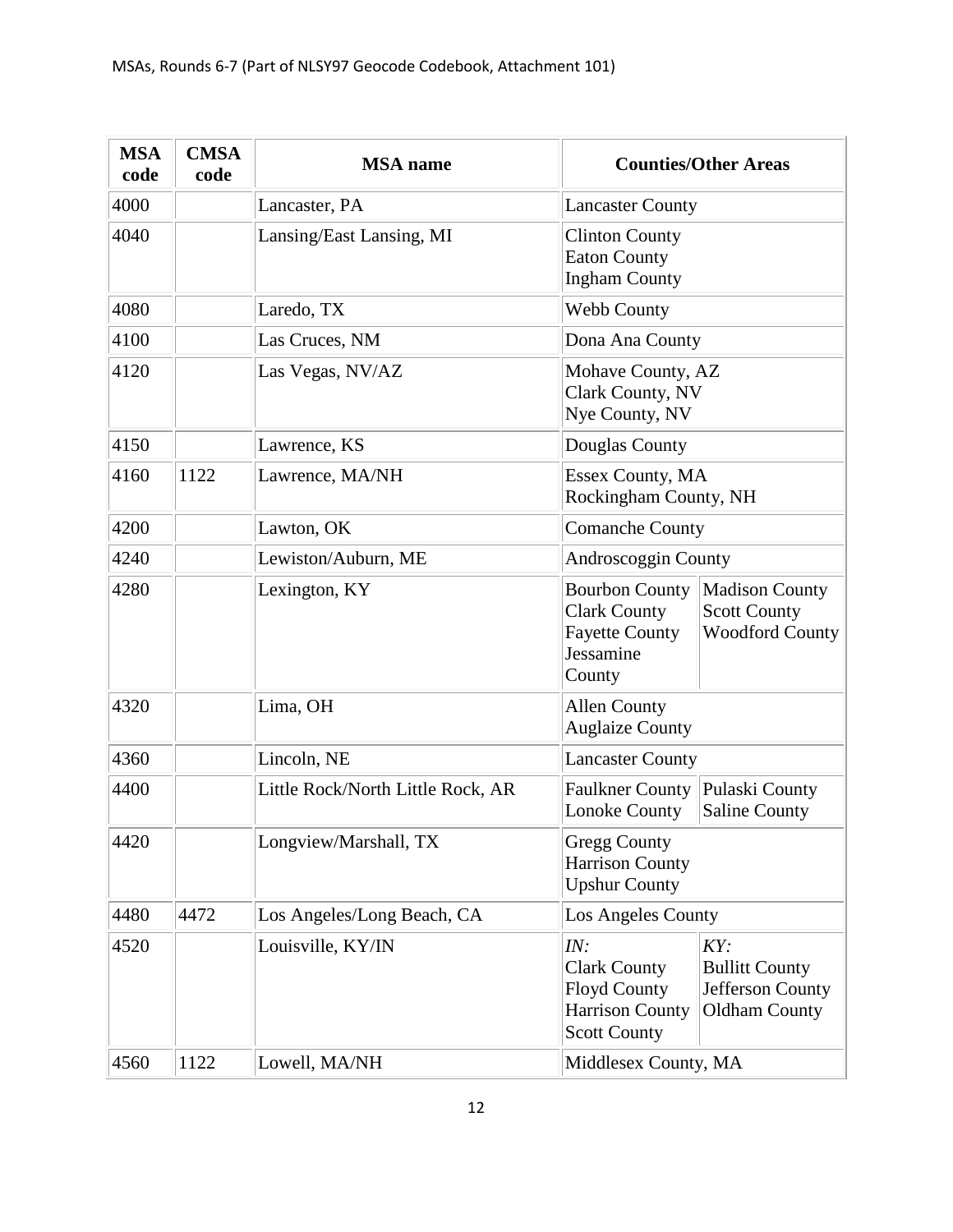| <b>MSA</b><br>code | <b>CMSA</b><br>code | <b>MSA</b> name                   |                                                                                                    | <b>Counties/Other Areas</b>                                              |
|--------------------|---------------------|-----------------------------------|----------------------------------------------------------------------------------------------------|--------------------------------------------------------------------------|
| 4000               |                     | Lancaster, PA                     | <b>Lancaster County</b>                                                                            |                                                                          |
| 4040               |                     | Lansing/East Lansing, MI          | <b>Clinton County</b><br><b>Eaton County</b><br><b>Ingham County</b>                               |                                                                          |
| 4080               |                     | Laredo, TX                        | <b>Webb County</b>                                                                                 |                                                                          |
| 4100               |                     | Las Cruces, NM                    | Dona Ana County                                                                                    |                                                                          |
| 4120               |                     | Las Vegas, NV/AZ                  | Mohave County, AZ<br>Clark County, NV<br>Nye County, NV                                            |                                                                          |
| 4150               |                     | Lawrence, KS                      | Douglas County                                                                                     |                                                                          |
| 4160               | 1122                | Lawrence, MA/NH                   | Essex County, MA<br>Rockingham County, NH                                                          |                                                                          |
| 4200               |                     | Lawton, OK                        | <b>Comanche County</b>                                                                             |                                                                          |
| 4240               |                     | Lewiston/Auburn, ME               | Androscoggin County                                                                                |                                                                          |
| 4280               |                     | Lexington, KY                     | <b>Bourbon County</b><br><b>Clark County</b><br><b>Fayette County</b><br>Jessamine<br>County       | Madison County<br><b>Scott County</b><br><b>Woodford County</b>          |
| 4320               |                     | Lima, OH                          | <b>Allen County</b><br><b>Auglaize County</b>                                                      |                                                                          |
| 4360               |                     | Lincoln, NE                       | <b>Lancaster County</b>                                                                            |                                                                          |
| 4400               |                     | Little Rock/North Little Rock, AR | Faulkner County Pulaski County<br>Lonoke County                                                    | <b>Saline County</b>                                                     |
| 4420               |                     | Longview/Marshall, TX             | <b>Gregg County</b><br><b>Harrison County</b><br><b>Upshur County</b>                              |                                                                          |
| 4480               | 4472                | Los Angeles/Long Beach, CA        | Los Angeles County                                                                                 |                                                                          |
| 4520               |                     | Louisville, KY/IN                 | IN:<br><b>Clark County</b><br><b>Floyd County</b><br><b>Harrison County</b><br><b>Scott County</b> | KY:<br><b>Bullitt County</b><br>Jefferson County<br><b>Oldham County</b> |
| 4560               | 1122                | Lowell, MA/NH                     | Middlesex County, MA                                                                               |                                                                          |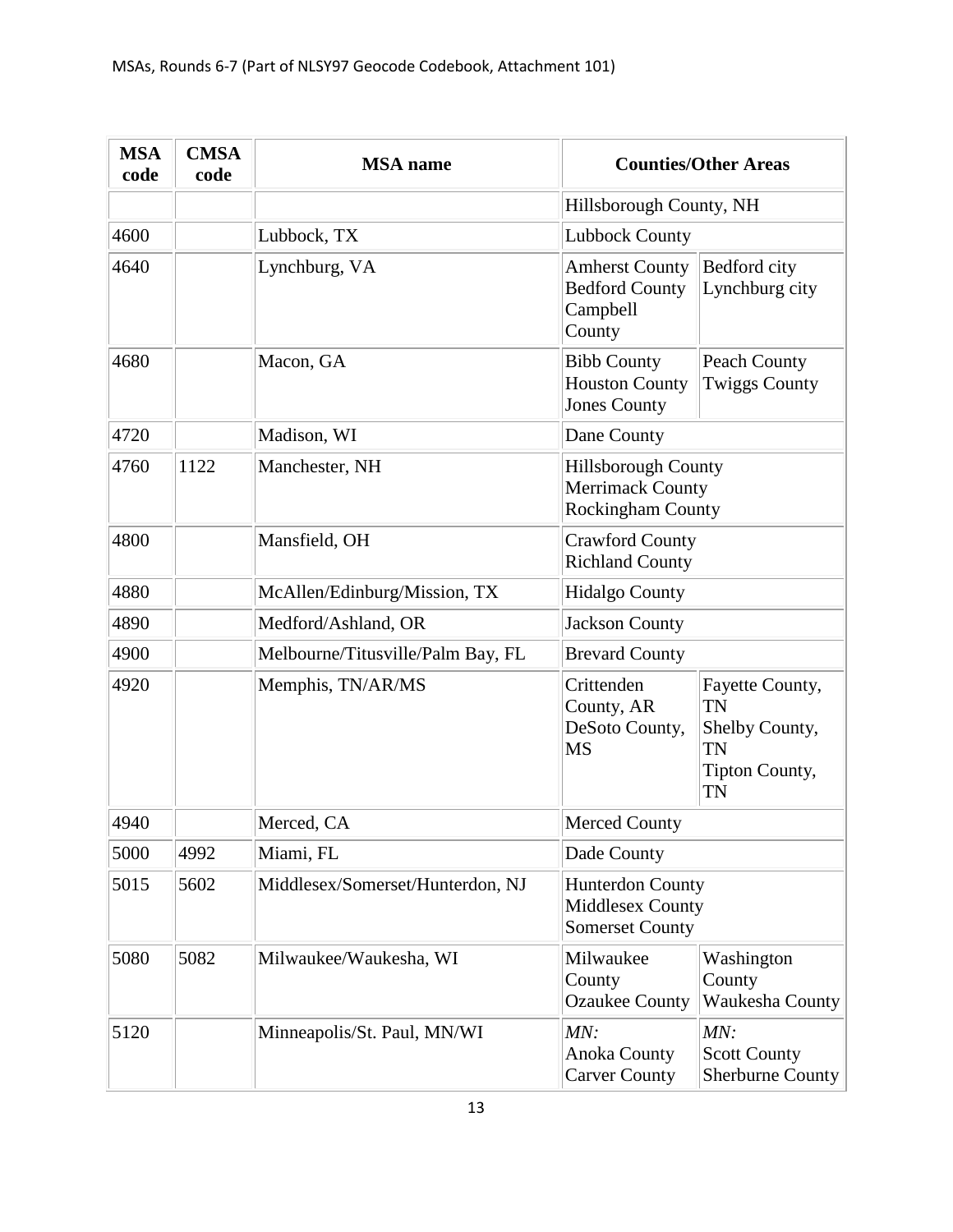| <b>MSA</b><br>code | <b>CMSA</b><br>code | <b>MSA</b> name                   |                                                                                   | <b>Counties/Other Areas</b>                                                  |
|--------------------|---------------------|-----------------------------------|-----------------------------------------------------------------------------------|------------------------------------------------------------------------------|
|                    |                     |                                   | Hillsborough County, NH                                                           |                                                                              |
| 4600               |                     | Lubbock, TX                       | <b>Lubbock County</b>                                                             |                                                                              |
| 4640               |                     | Lynchburg, VA                     | <b>Amherst County</b><br><b>Bedford County</b><br>Campbell<br>County              | Bedford city<br>Lynchburg city                                               |
| 4680               |                     | Macon, GA                         | <b>Bibb County</b><br><b>Houston County</b><br><b>Jones County</b>                | Peach County<br><b>Twiggs County</b>                                         |
| 4720               |                     | Madison, WI                       | Dane County                                                                       |                                                                              |
| 4760               | 1122                | Manchester, NH                    | <b>Hillsborough County</b><br><b>Merrimack County</b><br><b>Rockingham County</b> |                                                                              |
| 4800               |                     | Mansfield, OH                     | <b>Crawford County</b><br><b>Richland County</b>                                  |                                                                              |
| 4880               |                     | McAllen/Edinburg/Mission, TX      | <b>Hidalgo County</b>                                                             |                                                                              |
| 4890               |                     | Medford/Ashland, OR               | <b>Jackson County</b>                                                             |                                                                              |
| 4900               |                     | Melbourne/Titusville/Palm Bay, FL | <b>Brevard County</b>                                                             |                                                                              |
| 4920               |                     | Memphis, TN/AR/MS                 | Crittenden<br>County, AR<br>DeSoto County,<br><b>MS</b>                           | Fayette County,<br>TN<br>Shelby County,<br>TN<br>Tipton County,<br><b>TN</b> |
| 4940               |                     | Merced, CA                        | <b>Merced County</b>                                                              |                                                                              |
| 5000               | 4992                | Miami, FL                         | Dade County                                                                       |                                                                              |
| 5015               | 5602                | Middlesex/Somerset/Hunterdon, NJ  | <b>Hunterdon County</b><br>Middlesex County<br><b>Somerset County</b>             |                                                                              |
| 5080               | 5082                | Milwaukee/Waukesha, WI            | Milwaukee<br>County<br><b>Ozaukee County</b>                                      | Washington<br>County<br>Waukesha County                                      |
| 5120               |                     | Minneapolis/St. Paul, MN/WI       | MN:<br><b>Anoka County</b><br><b>Carver County</b>                                | MN:<br><b>Scott County</b><br><b>Sherburne County</b>                        |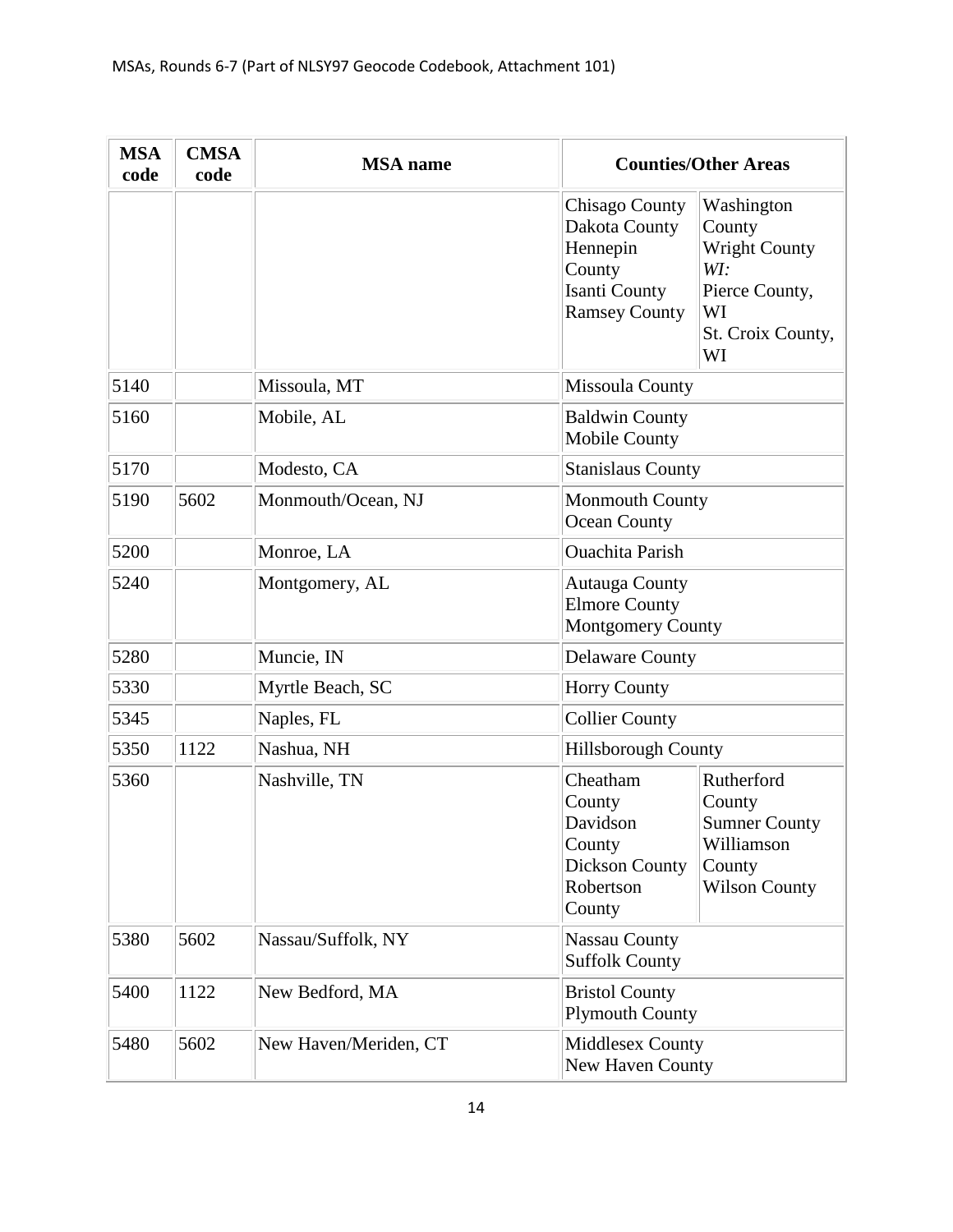| <b>MSA</b><br>code | <b>CMSA</b><br>code | <b>MSA</b> name       |                                                                                                       | <b>Counties/Other Areas</b>                                                                            |  |
|--------------------|---------------------|-----------------------|-------------------------------------------------------------------------------------------------------|--------------------------------------------------------------------------------------------------------|--|
|                    |                     |                       | <b>Chisago County</b><br>Dakota County<br>Hennepin<br>County<br>Isanti County<br><b>Ramsey County</b> | Washington<br>County<br><b>Wright County</b><br>WI:<br>Pierce County,<br>WI<br>St. Croix County,<br>WI |  |
| 5140               |                     | Missoula, MT          | <b>Missoula County</b>                                                                                |                                                                                                        |  |
| 5160               |                     | Mobile, AL            | <b>Baldwin County</b><br><b>Mobile County</b>                                                         |                                                                                                        |  |
| 5170               |                     | Modesto, CA           | <b>Stanislaus County</b>                                                                              |                                                                                                        |  |
| 5190               | 5602                | Monmouth/Ocean, NJ    | <b>Monmouth County</b><br>Ocean County                                                                |                                                                                                        |  |
| 5200               |                     | Monroe, LA            | <b>Ouachita Parish</b>                                                                                |                                                                                                        |  |
| 5240               |                     | Montgomery, AL        | <b>Autauga County</b><br><b>Elmore County</b><br>Montgomery County                                    |                                                                                                        |  |
| 5280               |                     | Muncie, IN            | <b>Delaware County</b>                                                                                |                                                                                                        |  |
| 5330               |                     | Myrtle Beach, SC      | <b>Horry County</b>                                                                                   |                                                                                                        |  |
| 5345               |                     | Naples, FL            | <b>Collier County</b>                                                                                 |                                                                                                        |  |
| 5350               | 1122                | Nashua, NH            | <b>Hillsborough County</b>                                                                            |                                                                                                        |  |
| 5360               |                     | Nashville, TN         | Cheatham<br>County<br>Davidson<br>County<br><b>Dickson County</b><br>Robertson<br>County              | Rutherford<br>County<br><b>Sumner County</b><br>Williamson<br>County<br><b>Wilson County</b>           |  |
| 5380               | 5602                | Nassau/Suffolk, NY    | <b>Nassau County</b><br><b>Suffolk County</b>                                                         |                                                                                                        |  |
| 5400               | 1122                | New Bedford, MA       | <b>Bristol County</b><br><b>Plymouth County</b>                                                       |                                                                                                        |  |
| 5480               | 5602                | New Haven/Meriden, CT | Middlesex County<br>New Haven County                                                                  |                                                                                                        |  |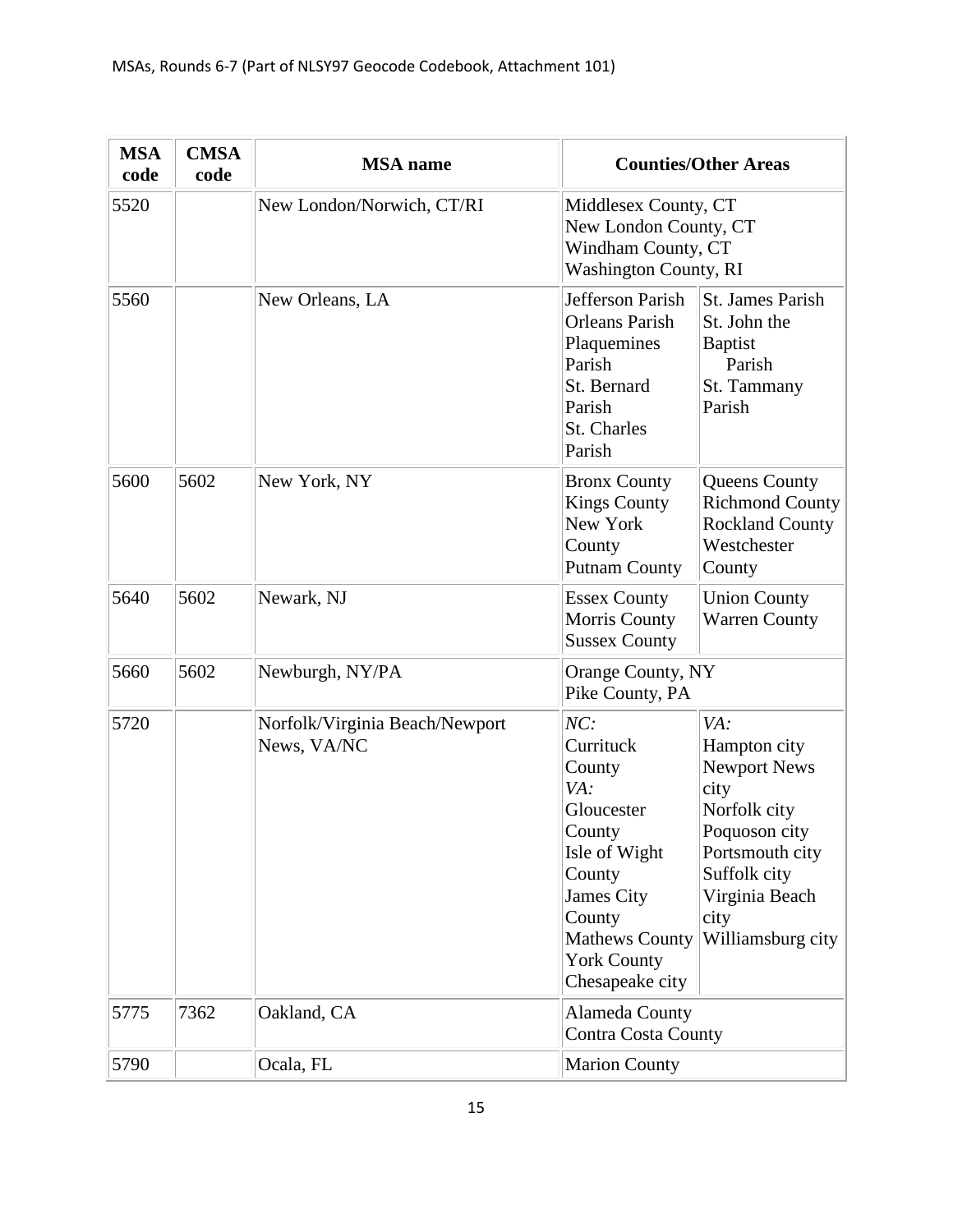| <b>MSA</b><br>code | <b>CMSA</b><br>code | <b>MSA</b> name                               |                                                                                                                                                                                | <b>Counties/Other Areas</b>                                                                                                                                           |
|--------------------|---------------------|-----------------------------------------------|--------------------------------------------------------------------------------------------------------------------------------------------------------------------------------|-----------------------------------------------------------------------------------------------------------------------------------------------------------------------|
| 5520               |                     | New London/Norwich, CT/RI                     | Middlesex County, CT<br>New London County, CT<br>Windham County, CT<br>Washington County, RI                                                                                   |                                                                                                                                                                       |
| 5560               |                     | New Orleans, LA                               | Jefferson Parish<br><b>Orleans Parish</b><br>Plaquemines<br>Parish<br>St. Bernard<br>Parish<br>St. Charles<br>Parish                                                           | St. James Parish<br>St. John the<br><b>Baptist</b><br>Parish<br>St. Tammany<br>Parish                                                                                 |
| 5600               | 5602                | New York, NY                                  | <b>Bronx County</b><br><b>Kings County</b><br>New York<br>County<br><b>Putnam County</b>                                                                                       | Queens County<br><b>Richmond County</b><br><b>Rockland County</b><br>Westchester<br>County                                                                            |
| 5640               | 5602                | Newark, NJ                                    | <b>Essex County</b><br>Morris County<br><b>Sussex County</b>                                                                                                                   | <b>Union County</b><br><b>Warren County</b>                                                                                                                           |
| 5660               | 5602                | Newburgh, NY/PA                               | Orange County, NY<br>Pike County, PA                                                                                                                                           |                                                                                                                                                                       |
| 5720               |                     | Norfolk/Virginia Beach/Newport<br>News, VA/NC | NC:<br>Currituck<br>County<br>VA:<br>Gloucester<br>County<br>Isle of Wight<br>County<br>James City<br>County<br><b>Mathews County</b><br><b>York County</b><br>Chesapeake city | VA:<br>Hampton city<br><b>Newport News</b><br>city<br>Norfolk city<br>Poquoson city<br>Portsmouth city<br>Suffolk city<br>Virginia Beach<br>city<br>Williamsburg city |
| 5775               | 7362                | Oakland, CA                                   | Alameda County<br><b>Contra Costa County</b>                                                                                                                                   |                                                                                                                                                                       |
| 5790               |                     | Ocala, FL                                     | <b>Marion County</b>                                                                                                                                                           |                                                                                                                                                                       |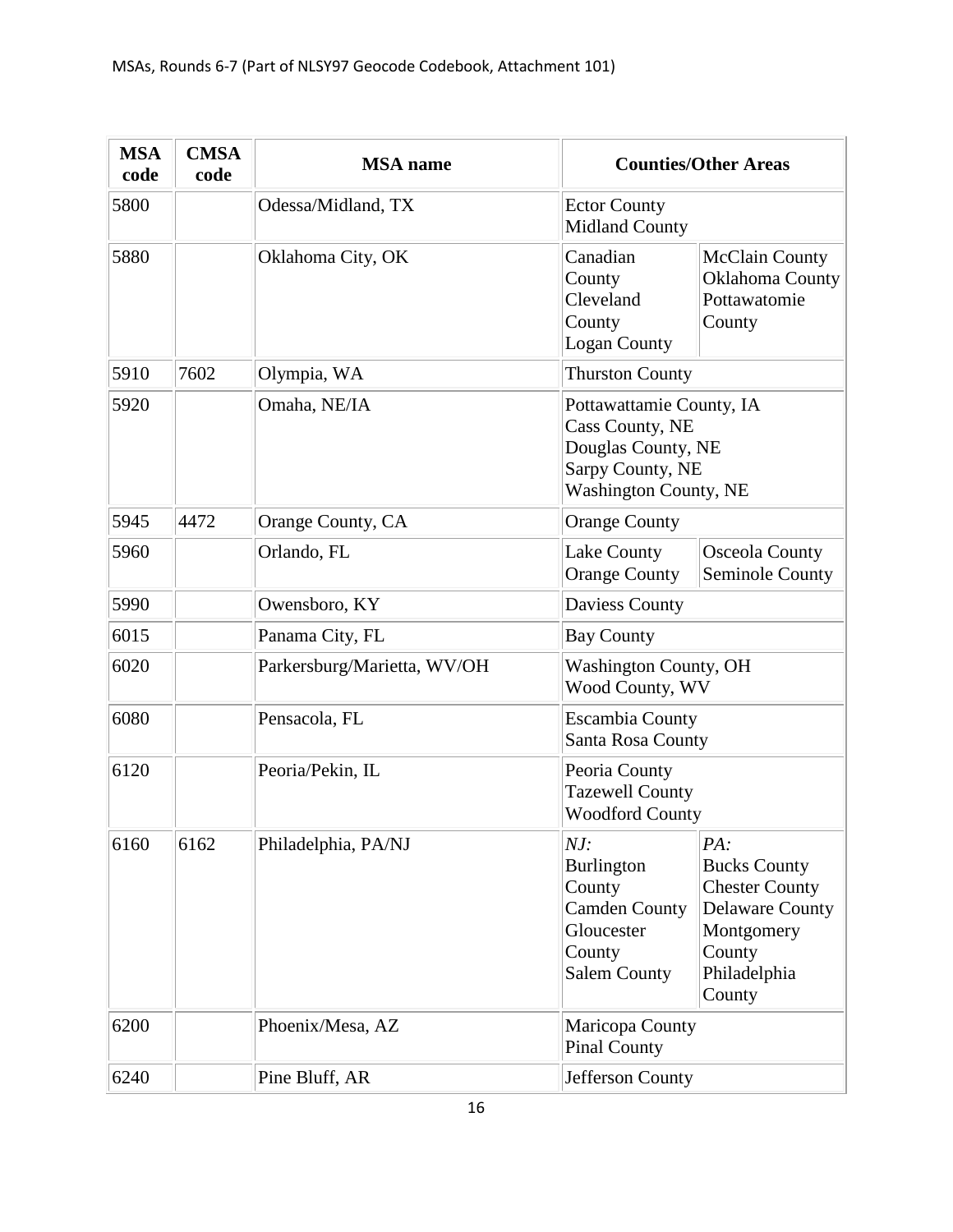| <b>MSA</b><br>code | <b>CMSA</b><br>code | <b>MSA</b> name             |                                                                                                                       | <b>Counties/Other Areas</b>                                                                                                     |
|--------------------|---------------------|-----------------------------|-----------------------------------------------------------------------------------------------------------------------|---------------------------------------------------------------------------------------------------------------------------------|
| 5800               |                     | Odessa/Midland, TX          | <b>Ector County</b><br><b>Midland County</b>                                                                          |                                                                                                                                 |
| 5880               |                     | Oklahoma City, OK           | Canadian<br>County<br>Cleveland<br>County<br><b>Logan County</b>                                                      | <b>McClain County</b><br>Oklahoma County<br>Pottawatomie<br>County                                                              |
| 5910               | 7602                | Olympia, WA                 | <b>Thurston County</b>                                                                                                |                                                                                                                                 |
| 5920               |                     | Omaha, NE/IA                | Pottawattamie County, IA<br>Cass County, NE<br>Douglas County, NE<br>Sarpy County, NE<br><b>Washington County, NE</b> |                                                                                                                                 |
| 5945               | 4472                | Orange County, CA           | <b>Orange County</b>                                                                                                  |                                                                                                                                 |
| 5960               |                     | Orlando, FL                 | Lake County<br><b>Orange County</b>                                                                                   | Osceola County<br>Seminole County                                                                                               |
| 5990               |                     | Owensboro, KY               | <b>Daviess County</b>                                                                                                 |                                                                                                                                 |
| 6015               |                     | Panama City, FL             | <b>Bay County</b>                                                                                                     |                                                                                                                                 |
| 6020               |                     | Parkersburg/Marietta, WV/OH | <b>Washington County, OH</b><br>Wood County, WV                                                                       |                                                                                                                                 |
| 6080               |                     | Pensacola, FL               | <b>Escambia County</b><br>Santa Rosa County                                                                           |                                                                                                                                 |
| 6120               |                     | Peoria/Pekin, IL            | Peoria County<br><b>Tazewell County</b><br><b>Woodford County</b>                                                     |                                                                                                                                 |
| 6160               | 6162                | Philadelphia, PA/NJ         | NJ:<br><b>Burlington</b><br>County<br><b>Camden County</b><br>Gloucester<br>County<br><b>Salem County</b>             | PA:<br><b>Bucks County</b><br><b>Chester County</b><br><b>Delaware County</b><br>Montgomery<br>County<br>Philadelphia<br>County |
| 6200               |                     | Phoenix/Mesa, AZ            | Maricopa County<br><b>Pinal County</b>                                                                                |                                                                                                                                 |
| 6240               |                     | Pine Bluff, AR              | Jefferson County                                                                                                      |                                                                                                                                 |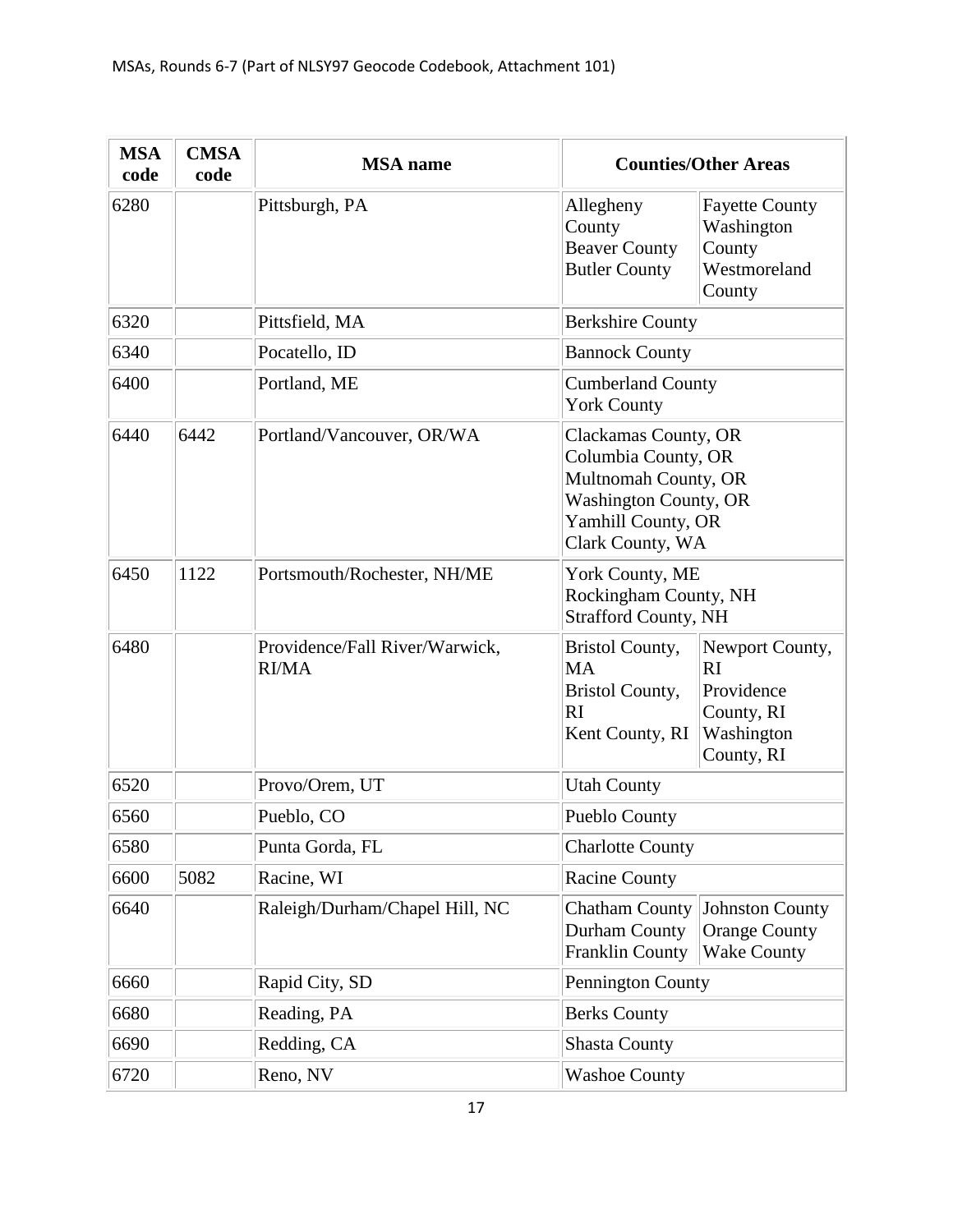| <b>MSA</b><br>code | <b>CMSA</b><br>code | <b>MSA</b> name                                |                                                                                                                                               | <b>Counties/Other Areas</b>                                                   |
|--------------------|---------------------|------------------------------------------------|-----------------------------------------------------------------------------------------------------------------------------------------------|-------------------------------------------------------------------------------|
| 6280               |                     | Pittsburgh, PA                                 | Allegheny<br>County<br><b>Beaver County</b><br><b>Butler County</b>                                                                           | <b>Fayette County</b><br>Washington<br>County<br>Westmoreland<br>County       |
| 6320               |                     | Pittsfield, MA                                 | <b>Berkshire County</b>                                                                                                                       |                                                                               |
| 6340               |                     | Pocatello, ID                                  | <b>Bannock County</b>                                                                                                                         |                                                                               |
| 6400               |                     | Portland, ME                                   | <b>Cumberland County</b><br><b>York County</b>                                                                                                |                                                                               |
| 6440               | 6442                | Portland/Vancouver, OR/WA                      | Clackamas County, OR<br>Columbia County, OR<br>Multnomah County, OR<br><b>Washington County, OR</b><br>Yamhill County, OR<br>Clark County, WA |                                                                               |
| 6450               | 1122                | Portsmouth/Rochester, NH/ME                    | York County, ME<br>Rockingham County, NH<br><b>Strafford County, NH</b>                                                                       |                                                                               |
| 6480               |                     | Providence/Fall River/Warwick,<br><b>RI/MA</b> | <b>Bristol County,</b><br><b>MA</b><br><b>Bristol County,</b><br>RI<br>Kent County, RI                                                        | Newport County,<br>RI<br>Providence<br>County, RI<br>Washington<br>County, RI |
| 6520               |                     | Provo/Orem, UT                                 | <b>Utah County</b>                                                                                                                            |                                                                               |
| 6560               |                     | Pueblo, CO                                     | Pueblo County                                                                                                                                 |                                                                               |
| 6580               |                     | Punta Gorda, FL                                | <b>Charlotte County</b>                                                                                                                       |                                                                               |
| 6600               | 5082                | Racine, WI                                     | <b>Racine County</b>                                                                                                                          |                                                                               |
| 6640               |                     | Raleigh/Durham/Chapel Hill, NC                 | <b>Chatham County</b><br>Durham County<br><b>Franklin County</b>                                                                              | Johnston County<br><b>Orange County</b><br><b>Wake County</b>                 |
| 6660               |                     | Rapid City, SD                                 | Pennington County                                                                                                                             |                                                                               |
| 6680               |                     | Reading, PA                                    | <b>Berks County</b>                                                                                                                           |                                                                               |
| 6690               |                     | Redding, CA                                    | <b>Shasta County</b>                                                                                                                          |                                                                               |
| 6720               |                     | Reno, NV                                       | <b>Washoe County</b>                                                                                                                          |                                                                               |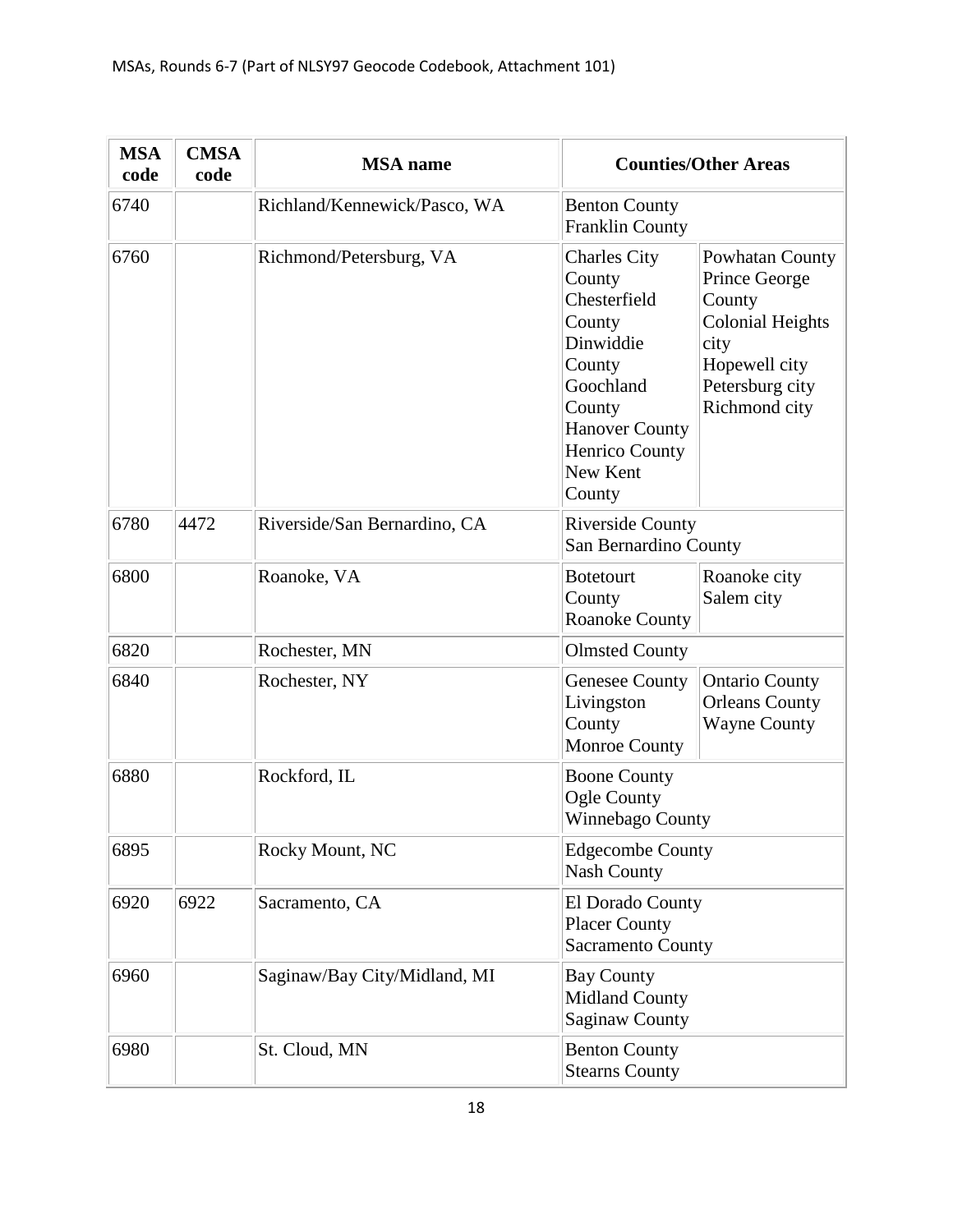| <b>MSA</b><br>code | <b>CMSA</b><br>code | <b>MSA</b> name              |                                                                                                                                                                        | <b>Counties/Other Areas</b>                                                                                                        |
|--------------------|---------------------|------------------------------|------------------------------------------------------------------------------------------------------------------------------------------------------------------------|------------------------------------------------------------------------------------------------------------------------------------|
| 6740               |                     | Richland/Kennewick/Pasco, WA | <b>Benton County</b><br><b>Franklin County</b>                                                                                                                         |                                                                                                                                    |
| 6760               |                     | Richmond/Petersburg, VA      | <b>Charles City</b><br>County<br>Chesterfield<br>County<br>Dinwiddie<br>County<br>Goochland<br>County<br><b>Hanover County</b><br>Henrico County<br>New Kent<br>County | Powhatan County<br>Prince George<br>County<br><b>Colonial Heights</b><br>city<br>Hopewell city<br>Petersburg city<br>Richmond city |
| 6780               | 4472                | Riverside/San Bernardino, CA | <b>Riverside County</b><br>San Bernardino County                                                                                                                       |                                                                                                                                    |
| 6800               |                     | Roanoke, VA                  | <b>Botetourt</b><br>County<br><b>Roanoke County</b>                                                                                                                    | Roanoke city<br>Salem city                                                                                                         |
| 6820               |                     | Rochester, MN                | <b>Olmsted County</b>                                                                                                                                                  |                                                                                                                                    |
| 6840               |                     | Rochester, NY                | <b>Genesee County</b><br>Livingston<br>County<br>Monroe County                                                                                                         | <b>Ontario County</b><br><b>Orleans County</b><br><b>Wayne County</b>                                                              |
| 6880               |                     | Rockford, IL                 | <b>Boone County</b><br>Ogle County<br>Winnebago County                                                                                                                 |                                                                                                                                    |
| 6895               |                     | Rocky Mount, NC              | <b>Edgecombe County</b><br><b>Nash County</b>                                                                                                                          |                                                                                                                                    |
| 6920               | 6922                | Sacramento, CA               | El Dorado County<br><b>Placer County</b><br><b>Sacramento County</b>                                                                                                   |                                                                                                                                    |
| 6960               |                     | Saginaw/Bay City/Midland, MI | <b>Bay County</b><br><b>Midland County</b><br><b>Saginaw County</b>                                                                                                    |                                                                                                                                    |
| 6980               |                     | St. Cloud, MN                | <b>Benton County</b><br><b>Stearns County</b>                                                                                                                          |                                                                                                                                    |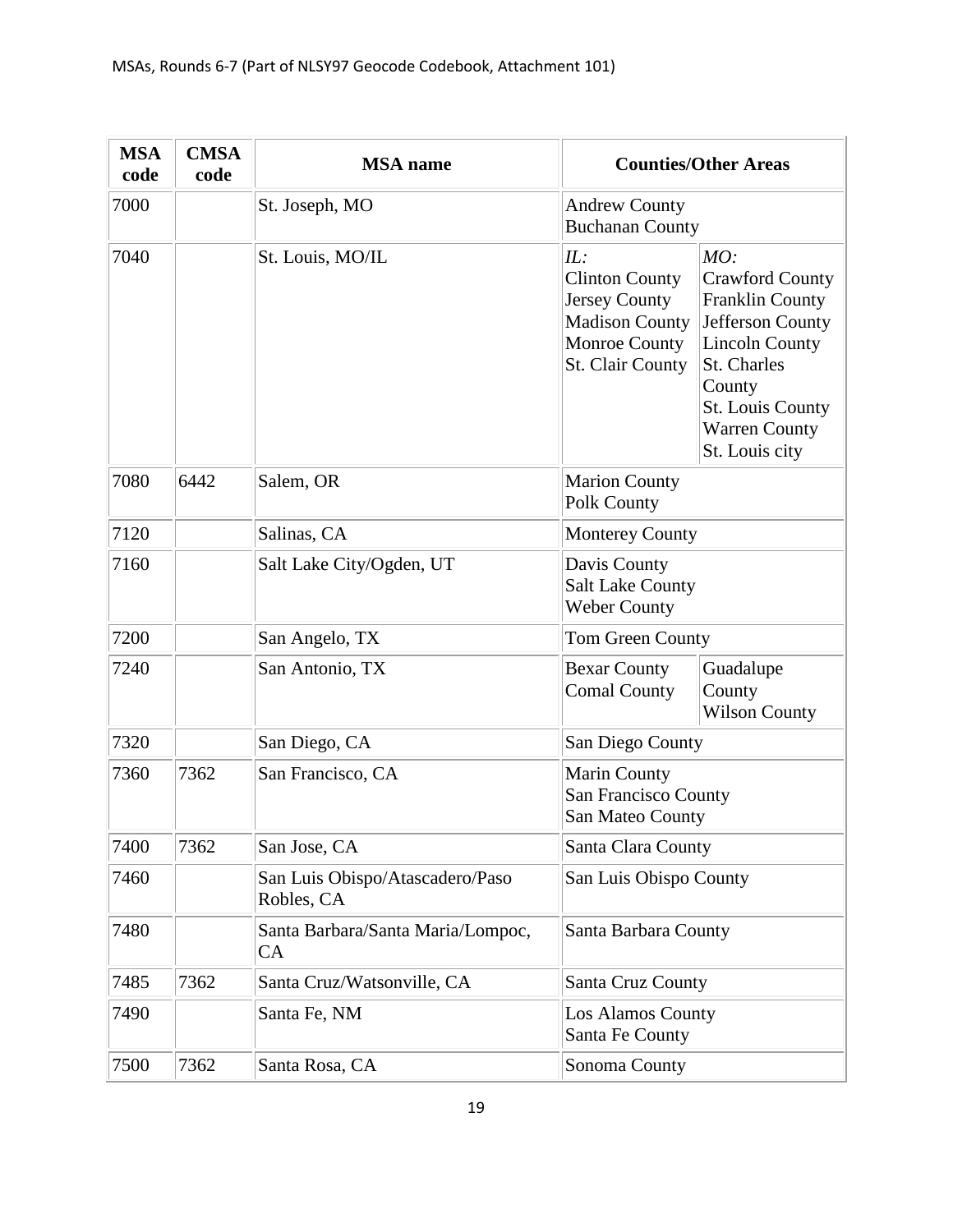| <b>MSA</b><br>code | <b>CMSA</b><br>code | <b>MSA</b> name                                |                                                                                                                                  | <b>Counties/Other Areas</b>                                                                                                                                                                 |
|--------------------|---------------------|------------------------------------------------|----------------------------------------------------------------------------------------------------------------------------------|---------------------------------------------------------------------------------------------------------------------------------------------------------------------------------------------|
| 7000               |                     | St. Joseph, MO                                 | <b>Andrew County</b><br><b>Buchanan County</b>                                                                                   |                                                                                                                                                                                             |
| 7040               |                     | St. Louis, MO/IL                               | IL:<br><b>Clinton County</b><br><b>Jersey County</b><br><b>Madison County</b><br><b>Monroe County</b><br><b>St. Clair County</b> | MO:<br><b>Crawford County</b><br><b>Franklin County</b><br>Jefferson County<br><b>Lincoln County</b><br>St. Charles<br>County<br>St. Louis County<br><b>Warren County</b><br>St. Louis city |
| 7080               | 6442                | Salem, OR                                      | <b>Marion County</b><br><b>Polk County</b>                                                                                       |                                                                                                                                                                                             |
| 7120               |                     | Salinas, CA                                    | <b>Monterey County</b>                                                                                                           |                                                                                                                                                                                             |
| 7160               |                     | Salt Lake City/Ogden, UT                       | Davis County<br><b>Salt Lake County</b><br><b>Weber County</b>                                                                   |                                                                                                                                                                                             |
| 7200               |                     | San Angelo, TX                                 | Tom Green County                                                                                                                 |                                                                                                                                                                                             |
| 7240               |                     | San Antonio, TX                                | <b>Bexar County</b><br><b>Comal County</b>                                                                                       | Guadalupe<br>County<br><b>Wilson County</b>                                                                                                                                                 |
| 7320               |                     | San Diego, CA                                  | San Diego County                                                                                                                 |                                                                                                                                                                                             |
| 7360               | 7362                | San Francisco, CA                              | Marin County<br><b>San Francisco County</b><br>San Mateo County                                                                  |                                                                                                                                                                                             |
| 7400               | 7362                | San Jose, CA                                   | Santa Clara County                                                                                                               |                                                                                                                                                                                             |
| 7460               |                     | San Luis Obispo/Atascadero/Paso<br>Robles, CA  | San Luis Obispo County                                                                                                           |                                                                                                                                                                                             |
| 7480               |                     | Santa Barbara/Santa Maria/Lompoc,<br><b>CA</b> | Santa Barbara County                                                                                                             |                                                                                                                                                                                             |
| 7485               | 7362                | Santa Cruz/Watsonville, CA                     | Santa Cruz County                                                                                                                |                                                                                                                                                                                             |
| 7490               |                     | Santa Fe, NM                                   | <b>Los Alamos County</b><br>Santa Fe County                                                                                      |                                                                                                                                                                                             |
| 7500               | 7362                | Santa Rosa, CA                                 | Sonoma County                                                                                                                    |                                                                                                                                                                                             |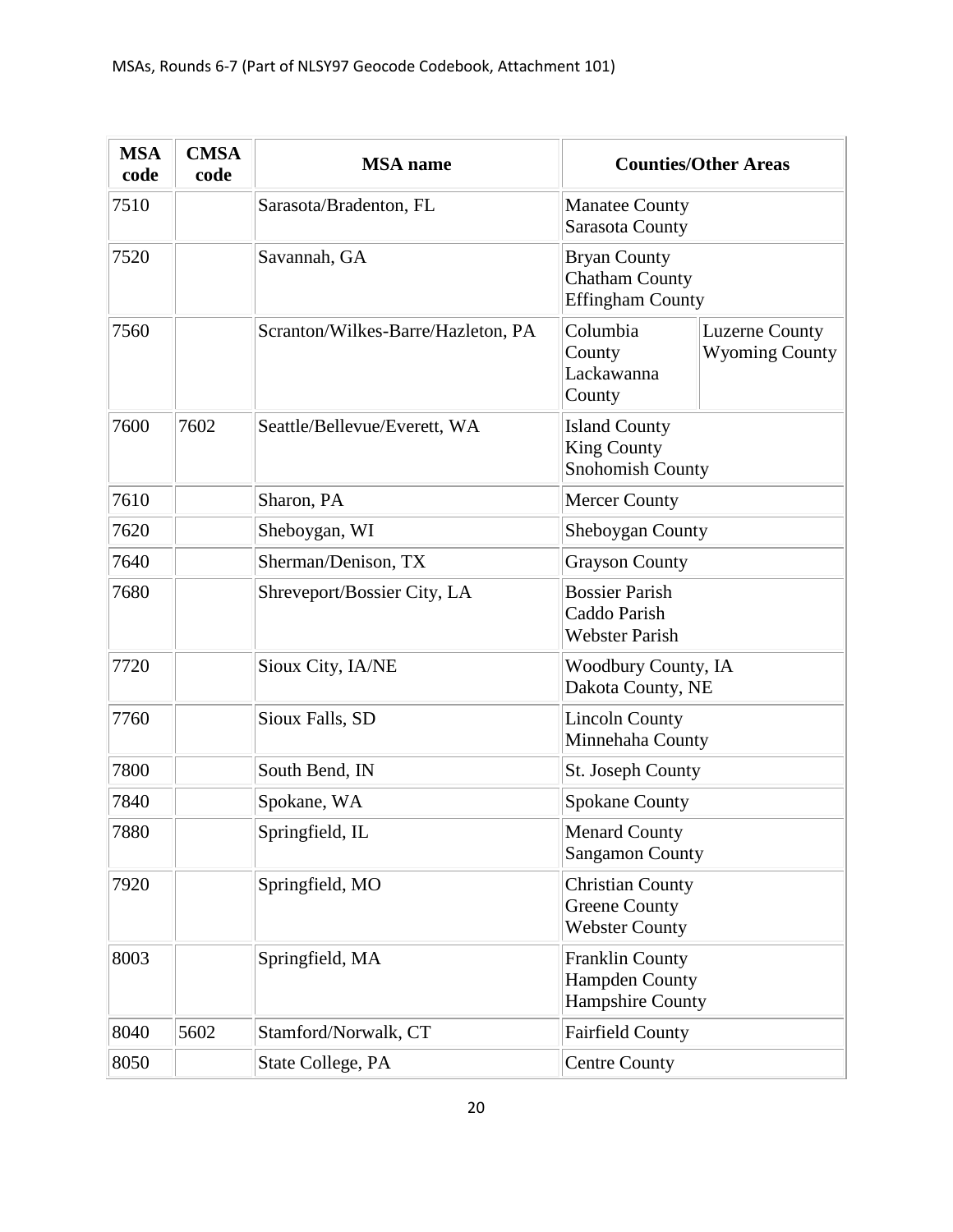| <b>MSA</b><br>code | <b>CMSA</b><br>code | <b>MSA</b> name                    |                                                                            | <b>Counties/Other Areas</b>                    |
|--------------------|---------------------|------------------------------------|----------------------------------------------------------------------------|------------------------------------------------|
| 7510               |                     | Sarasota/Bradenton, FL             | <b>Manatee County</b><br>Sarasota County                                   |                                                |
| 7520               |                     | Savannah, GA                       | <b>Bryan County</b><br><b>Chatham County</b><br><b>Effingham County</b>    |                                                |
| 7560               |                     | Scranton/Wilkes-Barre/Hazleton, PA | Columbia<br>County<br>Lackawanna<br>County                                 | <b>Luzerne County</b><br><b>Wyoming County</b> |
| 7600               | 7602                | Seattle/Bellevue/Everett, WA       | <b>Island County</b><br><b>King County</b><br><b>Snohomish County</b>      |                                                |
| 7610               |                     | Sharon, PA                         | <b>Mercer County</b>                                                       |                                                |
| 7620               |                     | Sheboygan, WI                      | Sheboygan County                                                           |                                                |
| 7640               |                     | Sherman/Denison, TX                | <b>Grayson County</b>                                                      |                                                |
| 7680               |                     | Shreveport/Bossier City, LA        | <b>Bossier Parish</b><br>Caddo Parish<br><b>Webster Parish</b>             |                                                |
| 7720               |                     | Sioux City, IA/NE                  | <b>Woodbury County, IA</b><br>Dakota County, NE                            |                                                |
| 7760               |                     | Sioux Falls, SD                    | <b>Lincoln County</b><br>Minnehaha County                                  |                                                |
| 7800               |                     | South Bend, IN                     | St. Joseph County                                                          |                                                |
| 7840               |                     | Spokane, WA                        | <b>Spokane County</b>                                                      |                                                |
| 7880               |                     | Springfield, IL                    | <b>Menard County</b><br><b>Sangamon County</b>                             |                                                |
| 7920               |                     | Springfield, MO                    | <b>Christian County</b><br><b>Greene County</b><br><b>Webster County</b>   |                                                |
| 8003               |                     | Springfield, MA                    | <b>Franklin County</b><br><b>Hampden County</b><br><b>Hampshire County</b> |                                                |
| 8040               | 5602                | Stamford/Norwalk, CT               | <b>Fairfield County</b>                                                    |                                                |
| 8050               |                     | State College, PA                  | <b>Centre County</b>                                                       |                                                |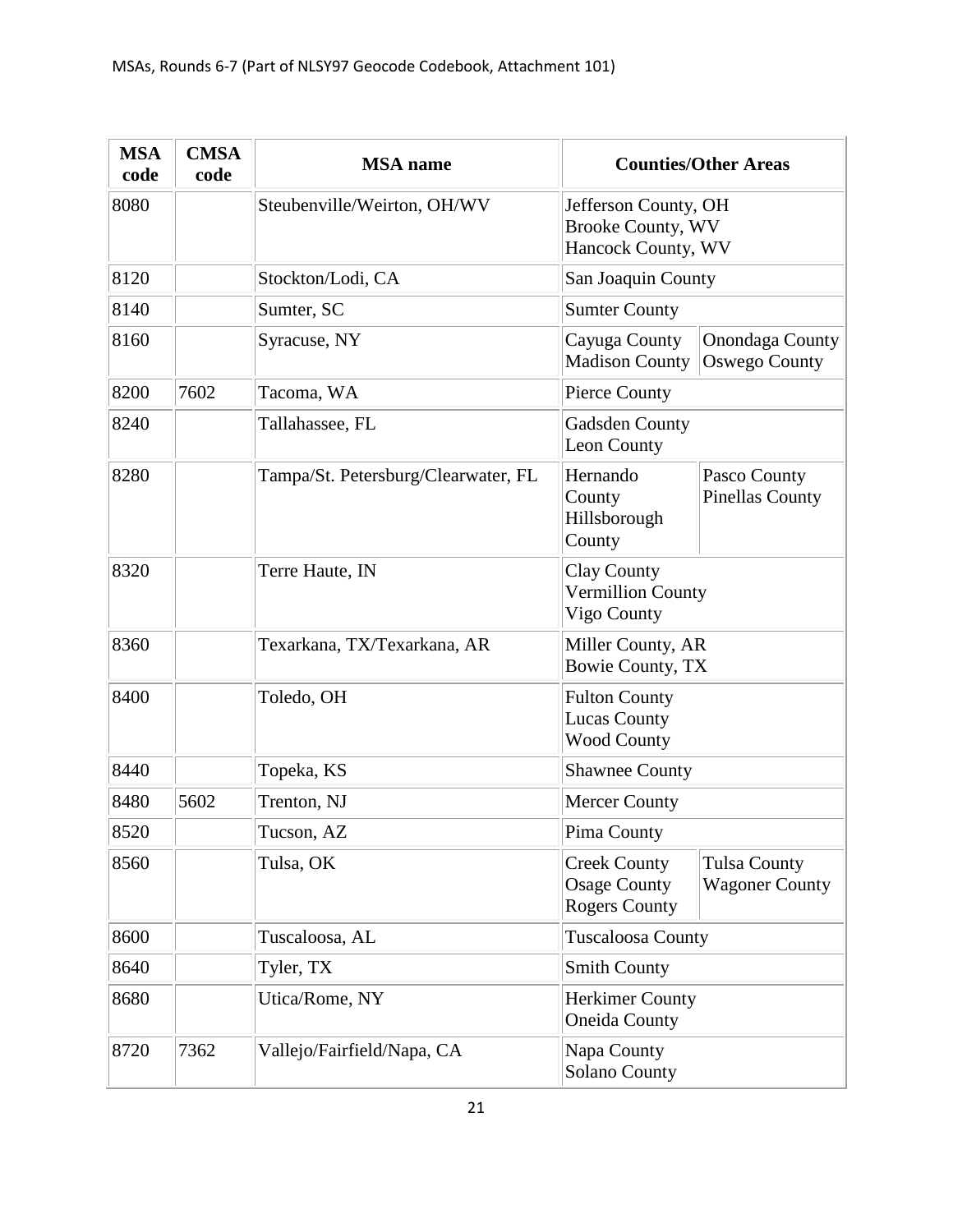| <b>MSA</b><br>code | <b>CMSA</b><br>code | <b>MSA</b> name                     |                                                                        | <b>Counties/Other Areas</b>                  |
|--------------------|---------------------|-------------------------------------|------------------------------------------------------------------------|----------------------------------------------|
| 8080               |                     | Steubenville/Weirton, OH/WV         | Jefferson County, OH<br><b>Brooke County, WV</b><br>Hancock County, WV |                                              |
| 8120               |                     | Stockton/Lodi, CA                   | San Joaquin County                                                     |                                              |
| 8140               |                     | Sumter, SC                          | <b>Sumter County</b>                                                   |                                              |
| 8160               |                     | Syracuse, NY                        | Cayuga County<br><b>Madison County</b>                                 | Onondaga County<br>Oswego County             |
| 8200               | 7602                | Tacoma, WA                          | Pierce County                                                          |                                              |
| 8240               |                     | Tallahassee, FL                     | <b>Gadsden County</b><br>Leon County                                   |                                              |
| 8280               |                     | Tampa/St. Petersburg/Clearwater, FL | Hernando<br>County<br>Hillsborough<br>County                           | Pasco County<br><b>Pinellas County</b>       |
| 8320               |                     | Terre Haute, IN                     | <b>Clay County</b><br><b>Vermillion County</b><br>Vigo County          |                                              |
| 8360               |                     | Texarkana, TX/Texarkana, AR         | Miller County, AR<br><b>Bowie County, TX</b>                           |                                              |
| 8400               |                     | Toledo, OH                          | <b>Fulton County</b><br><b>Lucas County</b><br><b>Wood County</b>      |                                              |
| 8440               |                     | Topeka, KS                          | <b>Shawnee County</b>                                                  |                                              |
| 8480               | 5602                | Trenton, NJ                         | <b>Mercer County</b>                                                   |                                              |
| 8520               |                     | Tucson, AZ                          | Pima County                                                            |                                              |
| 8560               |                     | Tulsa, OK                           | <b>Creek County</b><br><b>Osage County</b><br><b>Rogers County</b>     | <b>Tulsa County</b><br><b>Wagoner County</b> |
| 8600               |                     | Tuscaloosa, AL                      | <b>Tuscaloosa County</b>                                               |                                              |
| 8640               |                     | Tyler, TX                           | <b>Smith County</b>                                                    |                                              |
| 8680               |                     | Utica/Rome, NY                      | <b>Herkimer County</b><br><b>Oneida County</b>                         |                                              |
| 8720               | 7362                | Vallejo/Fairfield/Napa, CA          | Napa County<br>Solano County                                           |                                              |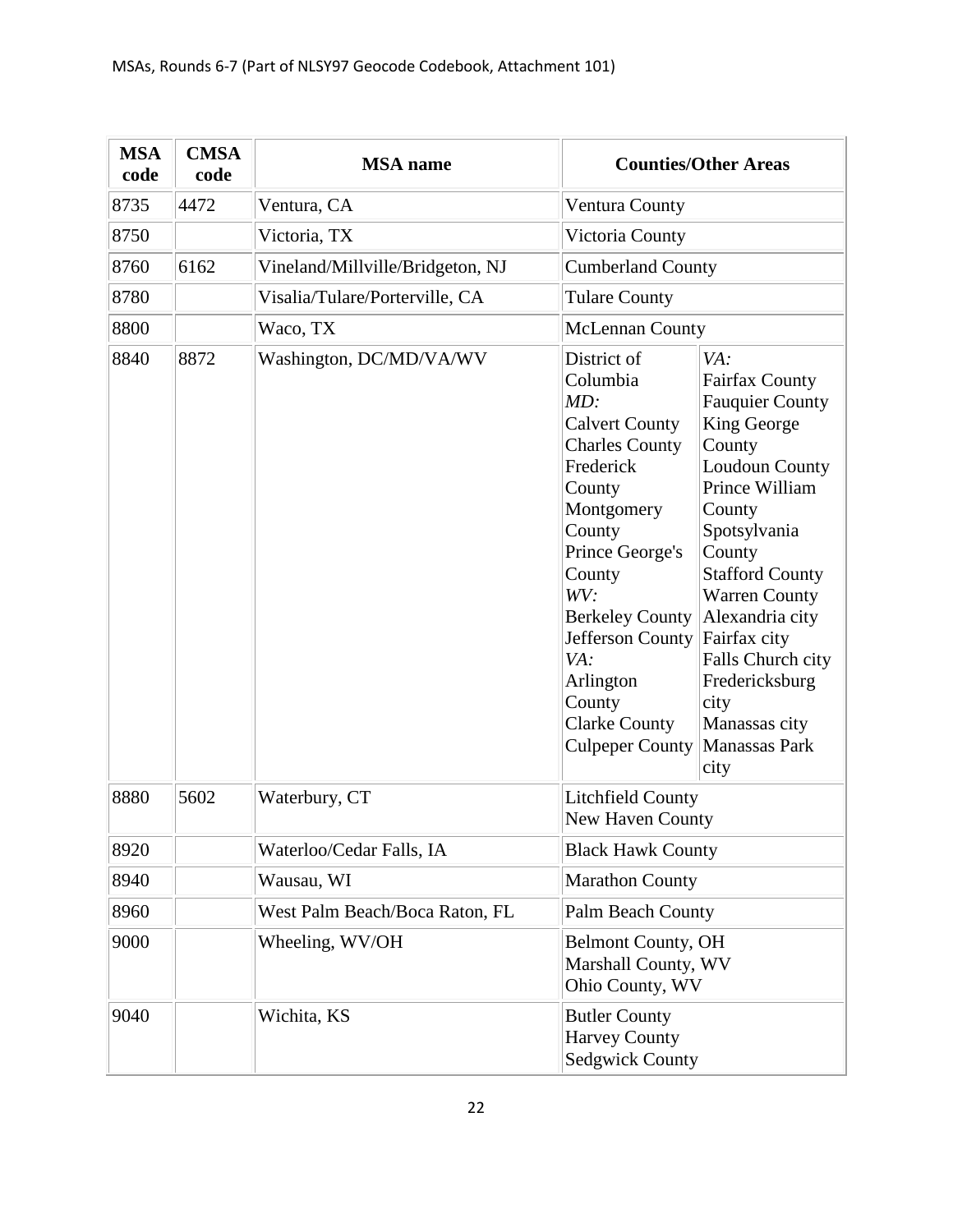| <b>MSA</b><br>code | <b>CMSA</b><br>code | <b>MSA</b> name                  |                                                                                                                                                                                                                                                                                                   | <b>Counties/Other Areas</b>                                                                                                                                                                                                                                                                                                           |
|--------------------|---------------------|----------------------------------|---------------------------------------------------------------------------------------------------------------------------------------------------------------------------------------------------------------------------------------------------------------------------------------------------|---------------------------------------------------------------------------------------------------------------------------------------------------------------------------------------------------------------------------------------------------------------------------------------------------------------------------------------|
| 8735               | 4472                | Ventura, CA                      | Ventura County                                                                                                                                                                                                                                                                                    |                                                                                                                                                                                                                                                                                                                                       |
| 8750               |                     | Victoria, TX                     | Victoria County                                                                                                                                                                                                                                                                                   |                                                                                                                                                                                                                                                                                                                                       |
| 8760               | 6162                | Vineland/Millville/Bridgeton, NJ | <b>Cumberland County</b>                                                                                                                                                                                                                                                                          |                                                                                                                                                                                                                                                                                                                                       |
| 8780               |                     | Visalia/Tulare/Porterville, CA   | <b>Tulare County</b>                                                                                                                                                                                                                                                                              |                                                                                                                                                                                                                                                                                                                                       |
| 8800               |                     | Waco, TX                         | <b>McLennan County</b>                                                                                                                                                                                                                                                                            |                                                                                                                                                                                                                                                                                                                                       |
| 8840               | 8872                | Washington, DC/MD/VA/WV          | District of<br>Columbia<br>MD:<br><b>Calvert County</b><br><b>Charles County</b><br>Frederick<br>County<br>Montgomery<br>County<br>Prince George's<br>County<br>WV:<br><b>Berkeley County</b><br>Jefferson County<br>VA:<br>Arlington<br>County<br><b>Clarke County</b><br><b>Culpeper County</b> | VA:<br><b>Fairfax County</b><br><b>Fauquier County</b><br>King George<br>County<br>Loudoun County<br>Prince William<br>County<br>Spotsylvania<br>County<br><b>Stafford County</b><br><b>Warren County</b><br>Alexandria city<br>Fairfax city<br>Falls Church city<br>Fredericksburg<br>city<br>Manassas city<br>Manassas Park<br>city |
| 8880               | 5602                | Waterbury, CT                    | <b>Litchfield County</b><br>New Haven County                                                                                                                                                                                                                                                      |                                                                                                                                                                                                                                                                                                                                       |
| 8920               |                     | Waterloo/Cedar Falls, IA         | <b>Black Hawk County</b>                                                                                                                                                                                                                                                                          |                                                                                                                                                                                                                                                                                                                                       |
| 8940               |                     | Wausau, WI                       | <b>Marathon County</b>                                                                                                                                                                                                                                                                            |                                                                                                                                                                                                                                                                                                                                       |
| 8960               |                     | West Palm Beach/Boca Raton, FL   | Palm Beach County                                                                                                                                                                                                                                                                                 |                                                                                                                                                                                                                                                                                                                                       |
| 9000               |                     | Wheeling, WV/OH                  | <b>Belmont County, OH</b><br>Marshall County, WV<br>Ohio County, WV                                                                                                                                                                                                                               |                                                                                                                                                                                                                                                                                                                                       |
| 9040               |                     | Wichita, KS                      | <b>Butler County</b><br><b>Harvey County</b><br><b>Sedgwick County</b>                                                                                                                                                                                                                            |                                                                                                                                                                                                                                                                                                                                       |